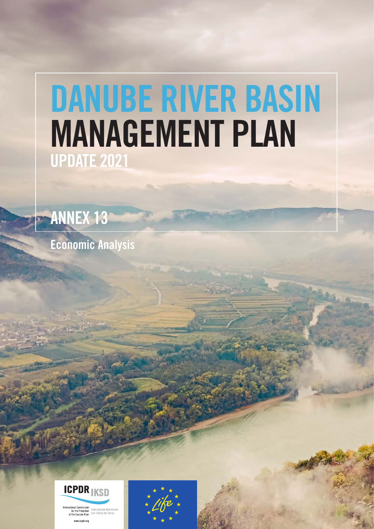# DANUBE RIVER BASIN MANAGEMENT PLAN UPDATE 2021

ANNEX 13

Economic Analysis



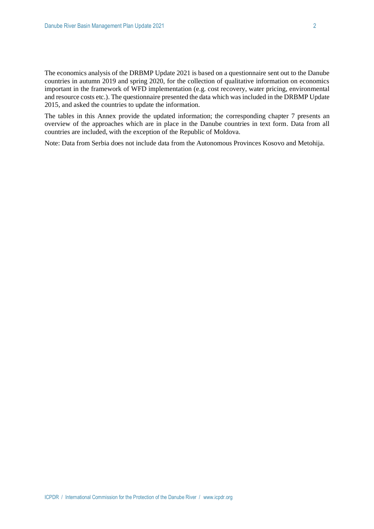The economics analysis of the DRBMP Update 2021 is based on a questionnaire sent out to the Danube countries in autumn 2019 and spring 2020, for the collection of qualitative information on economics important in the framework of WFD implementation (e.g. cost recovery, water pricing, environmental and resource costs etc.). The questionnaire presented the data which was included in the DRBMP Update 2015, and asked the countries to update the information.

The tables in this Annex provide the updated information; the corresponding chapter 7 presents an overview of the approaches which are in place in the Danube countries in text form. Data from all countries are included, with the exception of the Republic of Moldova.

Note: Data from Serbia does not include data from the Autonomous Provinces Kosovo and Metohija.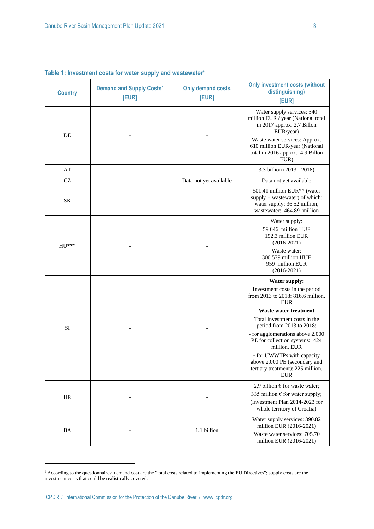| <b>Country</b> | <b>Demand and Supply Costs<sup>1</sup></b><br>[EUR] | <b>Only demand costs</b><br>[EUR] | <b>Only investment costs (without</b><br>distinguishing)<br>[EUR]                                                                                                                                                                                                                                                                                                                                 |
|----------------|-----------------------------------------------------|-----------------------------------|---------------------------------------------------------------------------------------------------------------------------------------------------------------------------------------------------------------------------------------------------------------------------------------------------------------------------------------------------------------------------------------------------|
| DE             |                                                     |                                   | Water supply services: 340<br>million EUR / year (National total<br>in 2017 approx. 2.7 Billon<br>EUR/year)<br>Waste water services: Approx.<br>610 million EUR/year (National<br>total in 2016 approx. 4.9 Billon<br>EUR)                                                                                                                                                                        |
| AT             |                                                     |                                   | 3.3 billion (2013 - 2018)                                                                                                                                                                                                                                                                                                                                                                         |
| CZ             | $\overline{a}$                                      | Data not yet available            | Data not yet available                                                                                                                                                                                                                                                                                                                                                                            |
| SK             |                                                     |                                   | 501.41 million EUR <sup>**</sup> (water<br>supply + wastewater) of which:<br>water supply: 36.52 million,<br>wastewater: 464.89 million                                                                                                                                                                                                                                                           |
| $HU***$        |                                                     |                                   | Water supply:<br>59 646 million HUF<br>192.3 million EUR<br>$(2016 - 2021)$<br>Waste water:<br>300 579 million HUF<br>959 million EUR<br>$(2016 - 2021)$                                                                                                                                                                                                                                          |
| SI             |                                                     |                                   | Water supply:<br>Investment costs in the period<br>from 2013 to 2018: 816,6 million.<br><b>EUR</b><br>Waste water treatment<br>Total investment costs in the<br>period from 2013 to 2018:<br>- for agglomerations above 2.000<br>PE for collection systems: 424<br>million. EUR<br>- for UWWTPs with capacity<br>above 2.000 PE (secondary and<br>tertiary treatment): 225 million.<br><b>EUR</b> |
| HR             |                                                     |                                   | 2,9 billion $\epsilon$ for waste water;<br>335 million $\epsilon$ for water supply;<br>(investment Plan 2014-2023 for<br>whole territory of Croatia)                                                                                                                                                                                                                                              |
| BA             |                                                     | 1.1 billion                       | Water supply services: 390.82<br>million EUR (2016-2021)<br>Waste water services: 705.70<br>million EUR (2016-2021)                                                                                                                                                                                                                                                                               |

**Table 1: Investment costs for water supply and wastewater\***

<sup>&</sup>lt;sup>1</sup> According to the questionnaires: demand cost are the "total costs related to implementing the EU Directives"; supply costs are the investment costs that could be realistically covered.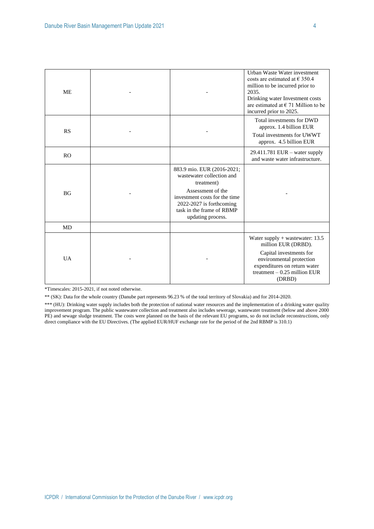| <b>ME</b>      |                                                                                                                                                                                                               | Urban Waste Water investment<br>costs are estimated at $\epsilon$ 350.4<br>million to be incurred prior to<br>2035.<br>Drinking water Investment costs<br>are estimated at $\in$ 71 Million to be<br>incurred prior to 2025. |
|----------------|---------------------------------------------------------------------------------------------------------------------------------------------------------------------------------------------------------------|------------------------------------------------------------------------------------------------------------------------------------------------------------------------------------------------------------------------------|
| <b>RS</b>      |                                                                                                                                                                                                               | Total investments for DWD<br>approx. 1.4 billion EUR<br>Total investments for UWWT<br>approx. 4.5 billion EUR                                                                                                                |
| R <sub>O</sub> |                                                                                                                                                                                                               | $29.411.781$ EUR – water supply<br>and waste water infrastructure.                                                                                                                                                           |
| BG             | 883.9 mio. EUR (2016-2021;<br>wastewater collection and<br>treatment)<br>Assessment of the<br>investment costs for the time<br>$2022 - 2027$ is forthcoming<br>task in the frame of RBMP<br>updating process. |                                                                                                                                                                                                                              |
| MD             |                                                                                                                                                                                                               |                                                                                                                                                                                                                              |
| <b>UA</b>      |                                                                                                                                                                                                               | Water supply $+$ wastewater: 13.5<br>million EUR (DRBD).<br>Capital investments for<br>environmental protection<br>expenditures on return water<br>treatment $-0.25$ million EUR<br>(DRBD)                                   |

\*Timescales: 2015-2021, if not noted otherwise.

\*\* (SK): Data for the whole country (Danube part represents 96.23 % of the total territory of Slovakia) and for 2014-2020.

\*\*\* (HU): Drinking water supply includes both the protection of national water resources and the implementation of a drinking water quality improvement program. The public wastewater collection and treatment also includes sewerage, wastewater treatment (below and above 2000 PE) and sewage sludge treatment. The costs were planned on the basis of the relevant EU programs, so do not include reconstructions, only direct compliance with the EU Directives. (The applied EUR/HUF exchange rate for the period of the 2nd RBMP is 310.1)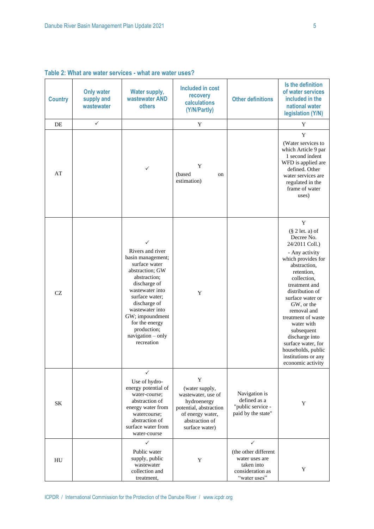|                |                                               | able 2. What are water services - what are water uses a                                                                                                                                                                                                                       |                                                                                                                                            |                                                                          |                                                                                                                                                                                                                                                                                                                                                                                               |
|----------------|-----------------------------------------------|-------------------------------------------------------------------------------------------------------------------------------------------------------------------------------------------------------------------------------------------------------------------------------|--------------------------------------------------------------------------------------------------------------------------------------------|--------------------------------------------------------------------------|-----------------------------------------------------------------------------------------------------------------------------------------------------------------------------------------------------------------------------------------------------------------------------------------------------------------------------------------------------------------------------------------------|
| <b>Country</b> | <b>Only water</b><br>supply and<br>wastewater | <b>Water supply,</b><br>wastewater AND<br><b>others</b>                                                                                                                                                                                                                       | <b>Included in cost</b><br>recovery<br>calculations<br>(Y/N/Partly)                                                                        | <b>Other definitions</b>                                                 | Is the definition<br>of water services<br>included in the<br>national water<br>legislation (Y/N)                                                                                                                                                                                                                                                                                              |
| DE             | $\checkmark$                                  |                                                                                                                                                                                                                                                                               | Y                                                                                                                                          |                                                                          | Y                                                                                                                                                                                                                                                                                                                                                                                             |
| AT             |                                               | ✓                                                                                                                                                                                                                                                                             | Y<br>(based<br>on<br>estimation)                                                                                                           |                                                                          | Y<br>(Water services to<br>which Article 9 par<br>1 second indent<br>WFD is applied are<br>defined. Other<br>water services are<br>regulated in the<br>frame of water<br>uses)                                                                                                                                                                                                                |
| CZ             |                                               | ✓<br>Rivers and river<br>basin management;<br>surface water<br>abstraction; GW<br>abstraction;<br>discharge of<br>wastewater into<br>surface water;<br>discharge of<br>wastewater into<br>GW; impoundment<br>for the energy<br>production;<br>navigation - only<br>recreation | Y                                                                                                                                          |                                                                          | Y<br>$(\S 2 let. a)$ of<br>Decree No.<br>24/2011 Coll.)<br>- Any activity<br>which provides for<br>abstraction,<br>retention,<br>collection,<br>treatment and<br>distribution of<br>surface water or<br>GW, or the<br>removal and<br>treatment of waste<br>water with<br>subsequent<br>discharge into<br>surface water, for<br>households, public<br>institutions or any<br>economic activity |
| <b>SK</b>      |                                               | ✓<br>Use of hydro-<br>energy potential of<br>water-course;<br>abstraction of<br>energy water from<br>watercourse;<br>abstraction of<br>surface water from<br>water-course                                                                                                     | Y<br>(water supply,<br>wastewater, use of<br>hydroenergy<br>potential, abstraction<br>of energy water,<br>abstraction of<br>surface water) | Navigation is<br>defined as a<br>"public service -<br>paid by the state" | Y                                                                                                                                                                                                                                                                                                                                                                                             |
|                |                                               | $\checkmark$<br>Public water                                                                                                                                                                                                                                                  |                                                                                                                                            | ✓<br>(the other different                                                |                                                                                                                                                                                                                                                                                                                                                                                               |

Y

water uses are taken into consideration as "water uses"

Y

# **Table 2: What are water services - what are water uses?**

supply, public wastewater collection and treatment,

HU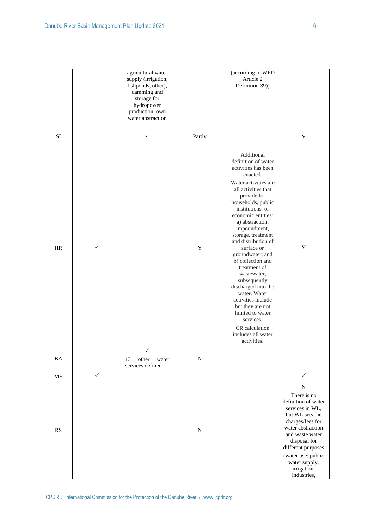|           |              | agricultural water<br>supply (irrigation,<br>fishponds, other),<br>damming and<br>storage for<br>hydropower<br>production, own<br>water abstraction |                | (according to WFD<br>Article 2<br>Definition 39))                                                                                                                                                                                                                                                                                                                                                                                                                                                                                                                |                                                                                                                                                                                                                                                              |
|-----------|--------------|-----------------------------------------------------------------------------------------------------------------------------------------------------|----------------|------------------------------------------------------------------------------------------------------------------------------------------------------------------------------------------------------------------------------------------------------------------------------------------------------------------------------------------------------------------------------------------------------------------------------------------------------------------------------------------------------------------------------------------------------------------|--------------------------------------------------------------------------------------------------------------------------------------------------------------------------------------------------------------------------------------------------------------|
| SI        |              | $\checkmark$                                                                                                                                        | Partly         |                                                                                                                                                                                                                                                                                                                                                                                                                                                                                                                                                                  | $\mathbf Y$                                                                                                                                                                                                                                                  |
| $\rm{HR}$ | ✓            |                                                                                                                                                     | $\mathbf Y$    | Additional<br>definition of water<br>activities has been<br>enacted.<br>Water activities are<br>all activities that<br>provide for<br>households, public<br>institutions or<br>economic entities:<br>a) abstraction,<br>impoundment,<br>storage, treatment<br>and distribution of<br>surface or<br>groundwater, and<br>b) collection and<br>treatment of<br>wastewater,<br>subsequently<br>discharged into the<br>water. Water<br>activities include<br>but they are not<br>limited to water<br>services.<br>CR calculation<br>includes all water<br>activities. | $\mathbf Y$                                                                                                                                                                                                                                                  |
| $\rm BA$  |              | ✓<br>other<br>13<br>water<br>services defined                                                                                                       | ${\bf N}$      |                                                                                                                                                                                                                                                                                                                                                                                                                                                                                                                                                                  |                                                                                                                                                                                                                                                              |
| ME        | $\checkmark$ | $\qquad \qquad \Box$                                                                                                                                | $\blacksquare$ | $\qquad \qquad \blacksquare$                                                                                                                                                                                                                                                                                                                                                                                                                                                                                                                                     | $\checkmark$                                                                                                                                                                                                                                                 |
| RS        |              |                                                                                                                                                     | $\mathbf N$    |                                                                                                                                                                                                                                                                                                                                                                                                                                                                                                                                                                  | ${\bf N}$<br>There is no<br>definition of water<br>services in WL,<br>but WL sets the<br>charges/fees for<br>water abstraction<br>and waste water<br>disposal for<br>different purposes<br>(water use: public<br>water supply,<br>irrigation,<br>industries, |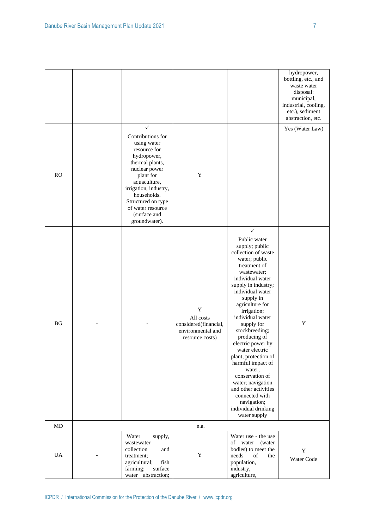|           |                                                                                                                                                                                                                                                           |                                                                                           |                                                                                                                                                                                                                                                                                                                                                                                                                                                                                                                                    | hydropower,<br>bottling, etc., and<br>waste water<br>disposal:<br>municipal,<br>industrial, cooling,<br>etc.), sediment<br>abstraction, etc. |
|-----------|-----------------------------------------------------------------------------------------------------------------------------------------------------------------------------------------------------------------------------------------------------------|-------------------------------------------------------------------------------------------|------------------------------------------------------------------------------------------------------------------------------------------------------------------------------------------------------------------------------------------------------------------------------------------------------------------------------------------------------------------------------------------------------------------------------------------------------------------------------------------------------------------------------------|----------------------------------------------------------------------------------------------------------------------------------------------|
| RO        | ✓<br>Contributions for<br>using water<br>resource for<br>hydropower,<br>thermal plants,<br>nuclear power<br>plant for<br>aquaculture,<br>irrigation, industry,<br>households.<br>Structured on type<br>of water resource<br>(surface and<br>groundwater). | Y                                                                                         |                                                                                                                                                                                                                                                                                                                                                                                                                                                                                                                                    | Yes (Water Law)                                                                                                                              |
| <b>BG</b> |                                                                                                                                                                                                                                                           | $\mathbf Y$<br>All costs<br>considered(financial,<br>environmental and<br>resource costs) | ✓<br>Public water<br>supply; public<br>collection of waste<br>water; public<br>treatment of<br>wastewater;<br>individual water<br>supply in industry;<br>individual water<br>supply in<br>agriculture for<br>irrigation;<br>individual water<br>supply for<br>stockbreeding;<br>producing of<br>electric power by<br>water electric<br>plant; protection of<br>harmful impact of<br>water;<br>conservation of<br>water; navigation<br>and other activities<br>connected with<br>navigation;<br>individual drinking<br>water supply | $\mathbf Y$                                                                                                                                  |
| $\rm MD$  |                                                                                                                                                                                                                                                           | n.a.                                                                                      |                                                                                                                                                                                                                                                                                                                                                                                                                                                                                                                                    |                                                                                                                                              |
| <b>UA</b> | Water<br>supply,<br>wastewater<br>collection<br>and<br>treatment;<br>agricultural;<br>fish<br>surface<br>farming;<br>water abstraction;                                                                                                                   | $\mathbf Y$                                                                               | Water use - the use<br>of water<br>(water<br>bodies) to meet the<br>needs<br>of<br>the<br>population,<br>industry,<br>agriculture,                                                                                                                                                                                                                                                                                                                                                                                                 | Y<br>Water Code                                                                                                                              |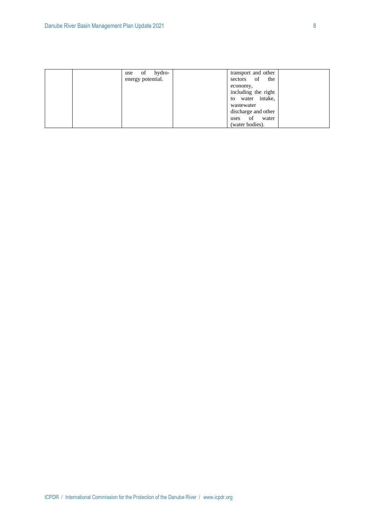| of hydro-<br>use  | transport and other |
|-------------------|---------------------|
| energy potential. | sectors of<br>the   |
|                   | economy,            |
|                   | including the right |
|                   | water intake,<br>to |
|                   | wastewater          |
|                   | discharge and other |
|                   | of<br>water<br>uses |
|                   | (water bodies).     |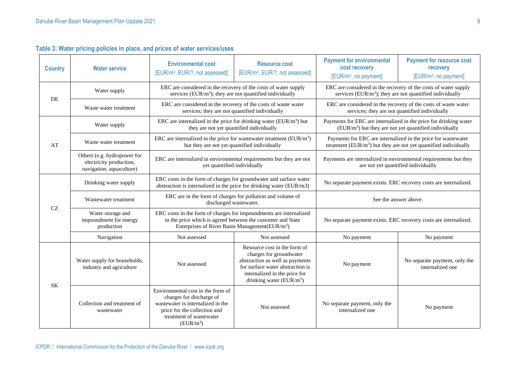| <b>Country</b> | <b>Water service</b>                                                               | <b>Environmental cost</b><br>[EUR/m <sup>3</sup> , EUR/?, not assessed]                                                                                                                         | <b>Resource cost</b><br>[EUR/m <sup>3</sup> , EUR/?, not assessed]                                                                   | <b>Payment for environmental</b><br>cost recovery<br>[EUR/m <sup>3</sup> , no payment]                                         | <b>Payment for resource cost</b><br>recovery<br>[EUR/m <sup>3</sup> , no payment] |
|----------------|------------------------------------------------------------------------------------|-------------------------------------------------------------------------------------------------------------------------------------------------------------------------------------------------|--------------------------------------------------------------------------------------------------------------------------------------|--------------------------------------------------------------------------------------------------------------------------------|-----------------------------------------------------------------------------------|
| DE             | Water supply                                                                       | ERC are considered in the recovery of the costs of water supply<br>services (EUR/ $m3$ ); they are not quantified individually                                                                  |                                                                                                                                      | ERC are considered in the recovery of the costs of water supply<br>services (EUR/ $m3$ ); they are not quantified individually |                                                                                   |
|                | Waste water treatment                                                              | ERC are considered in the recovery of the costs of waste water<br>services; they are not quantified individually                                                                                |                                                                                                                                      | ERC are considered in the recovery of the costs of waste water<br>services; they are not quantified individually               |                                                                                   |
|                | Water supply                                                                       | ERC are internalized in the price for drinking water (EUR/m <sup>3</sup> ) but<br>they are not yet quantified individually                                                                      |                                                                                                                                      | Payments for ERC are internalized in the price for drinking water<br>$(EUR/m3)$ but they are not yet quantified individually   |                                                                                   |
| AT             | Waste water treatment                                                              | ERC are internalized in the price for wastewater treatment ( $EUR/m3$ )<br>but they are not yet quantified individually                                                                         |                                                                                                                                      | treatment (EUR/m <sup>3</sup> ) but they are not yet quantified individually                                                   | Payments for ERC are internalized in the price for wastewater                     |
|                | Others (e.g. hydropower for<br>electricity production,<br>navigation, aquaculture) | ERC are internalized in environmental requirements but they are not<br>yet quantified individually                                                                                              |                                                                                                                                      | Payments are internalized in environmental requirements but they<br>are not yet quantified individually                        |                                                                                   |
|                | Drinking water supply                                                              | ERC costs in the form of charges for groundwater and surface water<br>abstraction is internalized in the price for drinking water (EUR/m3)                                                      |                                                                                                                                      | No separate payment exists. ERC recovery costs are internalized.                                                               |                                                                                   |
| CZ             | Wastewater treatment                                                               | ERC are in the form of charges for pollution and volume of<br>discharged wastewater.                                                                                                            |                                                                                                                                      | See the answer above.                                                                                                          |                                                                                   |
|                | Water storage and<br>impoundment for energy<br>production                          | ERC costs in the form of charges for impoundments are internalized<br>in the price which is agreed between the customer and State<br>Enterprises of River Basin Management(EUR/m <sup>3</sup> ) |                                                                                                                                      | No separate payment exists. ERC recovery costs are internalized.                                                               |                                                                                   |
|                | Navigation                                                                         | Not assessed                                                                                                                                                                                    | Not assessed                                                                                                                         | No payment                                                                                                                     | No payment                                                                        |
|                |                                                                                    |                                                                                                                                                                                                 | Resource cost in the form of<br>charges for groundwater                                                                              |                                                                                                                                |                                                                                   |
| SK             | Water supply for households,<br>industry and agriculture                           | Not assessed                                                                                                                                                                                    | abstraction as well as payments<br>for surface water abstraction is<br>internalized in the price for<br>drinking water ( $EUR/m^3$ ) | No payment                                                                                                                     | No separate payment, only the<br>internalized one                                 |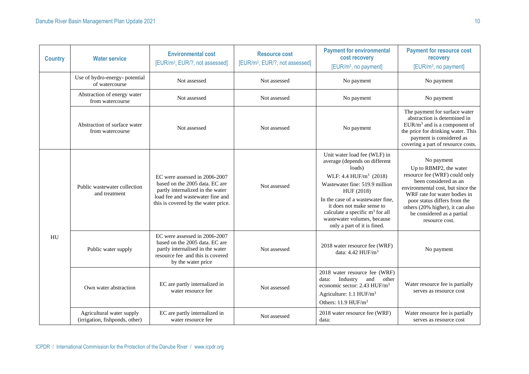| <b>Country</b> | <b>Water service</b>                                        | <b>Environmental cost</b><br>[EUR/m <sup>3</sup> , EUR/?, not assessed]                                                                                                        | <b>Resource cost</b><br>[EUR/m <sup>3</sup> , EUR/?, not assessed] | <b>Payment for environmental</b><br>cost recovery<br>[EUR/m <sup>3</sup> , no payment]                                                                                                                                                                                                                                     | <b>Payment for resource cost</b><br>recovery<br>[EUR/m <sup>3</sup> , no payment]                                                                                                                                                                                                       |
|----------------|-------------------------------------------------------------|--------------------------------------------------------------------------------------------------------------------------------------------------------------------------------|--------------------------------------------------------------------|----------------------------------------------------------------------------------------------------------------------------------------------------------------------------------------------------------------------------------------------------------------------------------------------------------------------------|-----------------------------------------------------------------------------------------------------------------------------------------------------------------------------------------------------------------------------------------------------------------------------------------|
|                | Use of hydro-energy- potential<br>of watercourse            | Not assessed                                                                                                                                                                   | Not assessed                                                       | No payment                                                                                                                                                                                                                                                                                                                 | No payment                                                                                                                                                                                                                                                                              |
|                | Abstraction of energy water<br>from watercourse             | Not assessed                                                                                                                                                                   | Not assessed                                                       | No payment                                                                                                                                                                                                                                                                                                                 | No payment                                                                                                                                                                                                                                                                              |
|                | Abstraction of surface water<br>from watercourse            | Not assessed                                                                                                                                                                   | Not assessed                                                       | No payment                                                                                                                                                                                                                                                                                                                 | The payment for surface water<br>abstraction is determined in<br>$EUR/m3$ and is a component of<br>the price for drinking water. This<br>payment is considered as<br>covering a part of resource costs.                                                                                 |
|                | Public wastewater collection<br>and treatment               | EC were assessed in 2006-2007<br>based on the 2005 data. EC are<br>partly internalized in the water<br>load fee and wastewater fine and<br>this is covered by the water price. | Not assessed                                                       | Unit water load fee (WLF) in<br>average (depends on different<br>loads)<br>WLF: 4.4 HUF/ $m^3$ (2018)<br>Wastewater fine: 519.9 million<br>HUF (2018)<br>In the case of a wastewater fine.<br>it does not make sense to<br>calculate a specific $m3$ for all<br>wastewater volumes, because<br>only a part of it is fined. | No payment<br>Up to RBMP2, the water<br>resource fee (WRF) could only<br>been considered as an<br>environmental cost, but since the<br>WRF rate for water bodies in<br>poor status differs from the<br>others (20% higher), it can also<br>be considered as a partial<br>resource cost. |
| <b>HU</b>      | Public water supply                                         | EC were assessed in 2006-2007<br>based on the 2005 data. EC are<br>partly internalised in the water<br>resource fee and this is covered<br>by the water price                  | Not assessed                                                       | 2018 water resource fee (WRF)<br>data: 4.42 HUF/m <sup>3</sup>                                                                                                                                                                                                                                                             | No payment                                                                                                                                                                                                                                                                              |
|                | Own water abstraction                                       | EC are partly internalized in<br>water resource fee                                                                                                                            | Not assessed                                                       | 2018 water resource fee (WRF)<br>Industry<br>and<br>data:<br>other<br>economic sector: 2.43 HUF/m <sup>3</sup><br>Agriculture: $1.1 \text{ HUF/m}^3$<br>Others: 11.9 HUF/m <sup>3</sup>                                                                                                                                    | Water resource fee is partially<br>serves as resource cost                                                                                                                                                                                                                              |
|                | Agricultural water supply<br>(irrigation, fishponds, other) | EC are partly internalized in<br>water resource fee                                                                                                                            | Not assessed                                                       | 2018 water resource fee (WRF)<br>data:                                                                                                                                                                                                                                                                                     | Water resource fee is partially<br>serves as resource cost                                                                                                                                                                                                                              |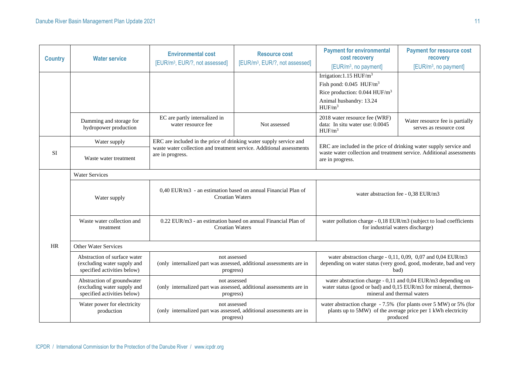| <b>Country</b> | <b>Water service</b>                                                                       | <b>Environmental cost</b><br>[EUR/m <sup>3</sup> , EUR/?, not assessed]                          | <b>Resource cost</b><br>[EUR/m <sup>3</sup> , EUR/?, not assessed]   | <b>Payment for environmental</b><br>cost recovery<br>[EUR/m <sup>3</sup> , no payment]                                                                                       | <b>Payment for resource cost</b><br>recovery<br>[EUR/m <sup>3</sup> , no payment]                                                                              |  |
|----------------|--------------------------------------------------------------------------------------------|--------------------------------------------------------------------------------------------------|----------------------------------------------------------------------|------------------------------------------------------------------------------------------------------------------------------------------------------------------------------|----------------------------------------------------------------------------------------------------------------------------------------------------------------|--|
|                |                                                                                            |                                                                                                  |                                                                      | Irrigation: $1.15$ HUF/m <sup>3</sup><br>Fish pond: $0.045$ HUF/m <sup>3</sup><br>Rice production: 0.044 HUF/m <sup>3</sup><br>Animal husbandry: 13.24<br>HUF/m <sup>3</sup> |                                                                                                                                                                |  |
|                | Damming and storage for<br>hydropower production                                           | EC are partly internalized in<br>water resource fee                                              | Not assessed                                                         | 2018 water resource fee (WRF)<br>data: In situ water use: 0.0045<br>HUF/m <sup>3</sup>                                                                                       | Water resource fee is partially<br>serves as resource cost                                                                                                     |  |
|                | Water supply                                                                               | ERC are included in the price of drinking water supply service and                               |                                                                      |                                                                                                                                                                              |                                                                                                                                                                |  |
| <b>SI</b>      | Waste water treatment                                                                      | are in progress.                                                                                 | waste water collection and treatment service. Additional assessments |                                                                                                                                                                              | ERC are included in the price of drinking water supply service and<br>waste water collection and treatment service. Additional assessments<br>are in progress. |  |
|                | <b>Water Services</b>                                                                      |                                                                                                  |                                                                      |                                                                                                                                                                              |                                                                                                                                                                |  |
|                | Water supply                                                                               | 0,40 EUR/m3 - an estimation based on annual Financial Plan of<br><b>Croatian Waters</b>          |                                                                      | water abstraction fee - 0.38 EUR/m3                                                                                                                                          |                                                                                                                                                                |  |
|                | Waste water collection and<br>treatment                                                    | 0.22 EUR/m3 - an estimation based on annual Financial Plan of<br><b>Croatian Waters</b>          |                                                                      | water pollution charge - 0,18 EUR/m3 (subject to load coefficients<br>for industrial waters discharge)                                                                       |                                                                                                                                                                |  |
| <b>HR</b>      | Other Water Services                                                                       |                                                                                                  |                                                                      |                                                                                                                                                                              |                                                                                                                                                                |  |
|                | Abstraction of surface water<br>(excluding water supply and<br>specified activities below) | not assessed<br>(only internalized part was assessed, additional assessments are in<br>progress) |                                                                      | water abstraction charge - 0,11, 0,09, 0,07 and 0,04 EUR/m3<br>depending on water status (very good, good, moderate, bad and very<br>bad)                                    |                                                                                                                                                                |  |
|                | Abstraction of groundwater<br>(excluding water supply and<br>specified activities below)   | not assessed<br>(only internalized part was assessed, additional assessments are in<br>progress) |                                                                      | water abstraction charge - 0,11 and 0,04 EUR/m3 depending on<br>water status (good or bad) and 0,15 EUR/m3 for mineral, thermos-<br>mineral and thermal waters               |                                                                                                                                                                |  |
|                | Water power for electricity<br>production                                                  | not assessed<br>(only internalized part was assessed, additional assessments are in<br>progress) |                                                                      | water abstraction charge - 7.5% (for plants over 5 MW) or 5% (for<br>plants up to 5MW) of the average price per 1 kWh electricity<br>produced                                |                                                                                                                                                                |  |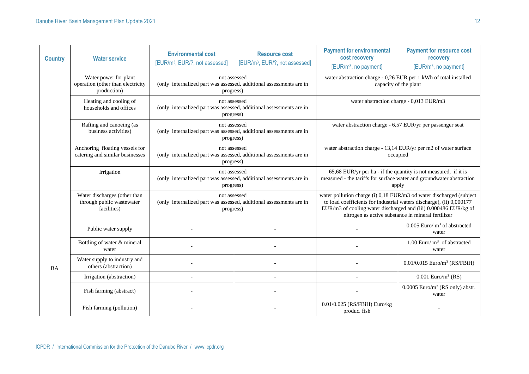| <b>Country</b> | <b>Water service</b>                                                      | <b>Environmental cost</b><br>[EUR/m <sup>3</sup> , EUR/?, not assessed]                                                                                                                              | <b>Resource cost</b><br>[EUR/m <sup>3</sup> , EUR/?, not assessed] | <b>Payment for environmental</b><br>cost recovery<br>[EUR/m <sup>3</sup> , no payment]                                                           | <b>Payment for resource cost</b><br>recovery<br>[EUR/m <sup>3</sup> , no payment]                                                                                                                                                                                    |  |
|----------------|---------------------------------------------------------------------------|------------------------------------------------------------------------------------------------------------------------------------------------------------------------------------------------------|--------------------------------------------------------------------|--------------------------------------------------------------------------------------------------------------------------------------------------|----------------------------------------------------------------------------------------------------------------------------------------------------------------------------------------------------------------------------------------------------------------------|--|
|                | Water power for plant<br>operation (other than electricity<br>production) | not assessed<br>(only internalized part was assessed, additional assessments are in<br>progress)                                                                                                     |                                                                    |                                                                                                                                                  | water abstraction charge - 0,26 EUR per 1 kWh of total installed<br>capacity of the plant                                                                                                                                                                            |  |
|                | Heating and cooling of<br>households and offices                          | not assessed<br>(only internalized part was assessed, additional assessments are in<br>progress)                                                                                                     |                                                                    |                                                                                                                                                  | water abstraction charge - 0,013 EUR/m3                                                                                                                                                                                                                              |  |
|                | Rafting and canoeing (as<br>business activities)                          | not assessed<br>(only internalized part was assessed, additional assessments are in<br>progress)                                                                                                     |                                                                    |                                                                                                                                                  | water abstraction charge - 6,57 EUR/yr per passenger seat                                                                                                                                                                                                            |  |
|                | Anchoring floating vessels for<br>catering and similar businesses         | not assessed<br>(only internalized part was assessed, additional assessments are in<br>progress)                                                                                                     |                                                                    |                                                                                                                                                  | water abstraction charge - 13,14 EUR/yr per m2 of water surface<br>occupied                                                                                                                                                                                          |  |
|                | Irrigation                                                                | not assessed<br>(only internalized part was assessed, additional assessments are in<br>progress)<br>not assessed<br>(only internalized part was assessed, additional assessments are in<br>progress) |                                                                    | 65,68 EUR/yr per ha - if the quantity is not measured, if it is<br>measured - the tariffs for surface water and groundwater abstraction<br>apply |                                                                                                                                                                                                                                                                      |  |
|                | Water discharges (other than<br>through public wastewater<br>facilities)  |                                                                                                                                                                                                      |                                                                    |                                                                                                                                                  | water pollution charge (i) 0,18 EUR/m3 od water discharged (subject<br>to load coefficients for industrial waters discharge), (ii) 0,000177<br>EUR/m3 of cooling water discharged and (iii) 0.000486 EUR/kg of<br>nitrogen as active substance in mineral fertilizer |  |
|                | Public water supply                                                       |                                                                                                                                                                                                      |                                                                    |                                                                                                                                                  | $0.005$ Euro/m <sup>3</sup> of abstracted<br>water                                                                                                                                                                                                                   |  |
|                | Bottling of water & mineral<br>water                                      |                                                                                                                                                                                                      |                                                                    |                                                                                                                                                  | 1.00 Euro/ $m3$ of abstracted<br>water                                                                                                                                                                                                                               |  |
| <b>BA</b>      | Water supply to industry and<br>others (abstraction)                      |                                                                                                                                                                                                      |                                                                    |                                                                                                                                                  | $0.01/0.015$ Euro/m <sup>3</sup> (RS/FBiH)                                                                                                                                                                                                                           |  |
|                | Irrigation (abstraction)                                                  |                                                                                                                                                                                                      |                                                                    |                                                                                                                                                  | $0.001$ Euro/m <sup>3</sup> (RS)                                                                                                                                                                                                                                     |  |
|                | Fish farming (abstract)                                                   |                                                                                                                                                                                                      |                                                                    |                                                                                                                                                  | $0.0005$ Euro/m <sup>3</sup> (RS only) abstr.<br>water                                                                                                                                                                                                               |  |
|                | Fish farming (pollution)                                                  |                                                                                                                                                                                                      |                                                                    | 0.01/0.025 (RS/FBiH) Euro/kg<br>produc. fish                                                                                                     |                                                                                                                                                                                                                                                                      |  |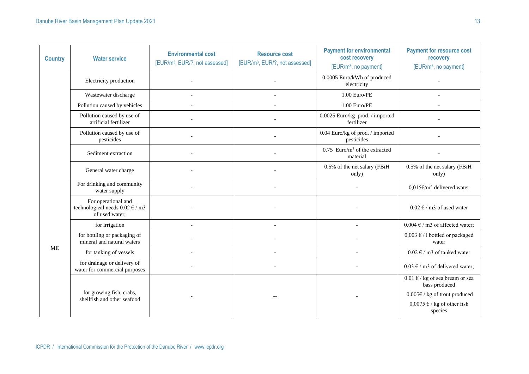| <b>Country</b> | <b>Water service</b>                                                                                   | <b>Environmental cost</b><br>[EUR/m <sup>3</sup> , EUR/?, not assessed] | <b>Resource cost</b><br>[EUR/m <sup>3</sup> , EUR/?, not assessed] | <b>Payment for environmental</b><br>cost recovery<br>[EUR/m <sup>3</sup> , no payment] | <b>Payment for resource cost</b><br>recovery<br>[EUR/m <sup>3</sup> , no payment]                                                                      |
|----------------|--------------------------------------------------------------------------------------------------------|-------------------------------------------------------------------------|--------------------------------------------------------------------|----------------------------------------------------------------------------------------|--------------------------------------------------------------------------------------------------------------------------------------------------------|
|                | Electricity production                                                                                 |                                                                         |                                                                    | 0.0005 Euro/kWh of produced<br>electricity                                             |                                                                                                                                                        |
|                | Wastewater discharge                                                                                   |                                                                         |                                                                    | 1.00 Euro/PE                                                                           |                                                                                                                                                        |
|                | Pollution caused by vehicles                                                                           |                                                                         |                                                                    | 1.00 Euro/PE                                                                           |                                                                                                                                                        |
|                | Pollution caused by use of<br>artificial fertilizer                                                    |                                                                         |                                                                    | 0.0025 Euro/kg prod. / imported<br>fertilizer                                          |                                                                                                                                                        |
|                | Pollution caused by use of<br>pesticides                                                               |                                                                         |                                                                    | 0.04 Euro/kg of prod. / imported<br>pesticides                                         |                                                                                                                                                        |
|                | Sediment extraction                                                                                    |                                                                         |                                                                    | $0.75$ Euro/m <sup>3</sup> of the extracted<br>material                                |                                                                                                                                                        |
|                | General water charge                                                                                   |                                                                         |                                                                    | 0.5% of the net salary (FBiH<br>only)                                                  | 0.5% of the net salary (FBiH<br>only)                                                                                                                  |
|                | For drinking and community<br>water supply                                                             |                                                                         |                                                                    |                                                                                        | $0.015 \text{E/m}^3$ delivered water                                                                                                                   |
|                | For operational and<br>technological needs $0.02 \text{ } \in / \text{ } \text{m}$ 3<br>of used water; |                                                                         |                                                                    |                                                                                        | $0.02 \text{ }\epsilon$ / m3 of used water                                                                                                             |
|                | for irrigation                                                                                         |                                                                         |                                                                    |                                                                                        | $0.004 \text{ }\epsilon$ / m3 of affected water;                                                                                                       |
|                | for bottling or packaging of<br>mineral and natural waters                                             |                                                                         |                                                                    |                                                                                        | $0,003 \text{ } \in$ / 1 bottled or packaged<br>water                                                                                                  |
| <b>ME</b>      | for tanking of vessels                                                                                 |                                                                         |                                                                    |                                                                                        | $0.02 \text{ } \in$ / m3 of tanked water                                                                                                               |
|                | for drainage or delivery of<br>water for commercial purposes                                           |                                                                         |                                                                    |                                                                                        | $0.03 \text{ } \in$ / m3 of delivered water;                                                                                                           |
|                | for growing fish, crabs,<br>shellfish and other seafood                                                |                                                                         |                                                                    |                                                                                        | $0.01 \text{ E}$ / kg of sea bream or sea<br>bass produced<br>$0.005 \epsilon /$ kg of trout produced<br>$0,0075 \in \ell$ kg of other fish<br>species |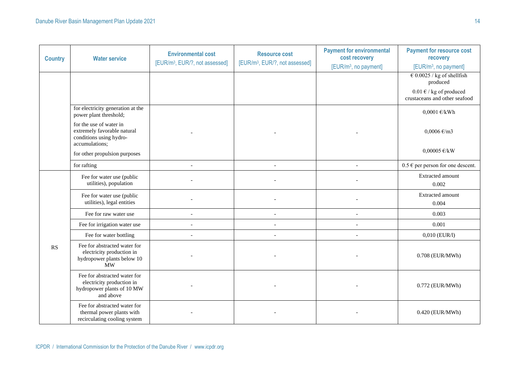| <b>Country</b> | <b>Water service</b>                                                                                 | <b>Environmental cost</b><br>[EUR/m <sup>3</sup> , EUR/?, not assessed] | <b>Resource cost</b><br>[EUR/m <sup>3</sup> , EUR/?, not assessed] | <b>Payment for environmental</b><br>cost recovery<br>[EUR/m <sup>3</sup> , no payment] | <b>Payment for resource cost</b><br>recovery<br>[EUR/m <sup>3</sup> , no payment] |
|----------------|------------------------------------------------------------------------------------------------------|-------------------------------------------------------------------------|--------------------------------------------------------------------|----------------------------------------------------------------------------------------|-----------------------------------------------------------------------------------|
|                |                                                                                                      |                                                                         |                                                                    |                                                                                        | $\text{\textsterling} 0.0025$ / kg of shellfish<br>produced                       |
|                |                                                                                                      |                                                                         |                                                                    |                                                                                        | $0.01 \text{ E}$ / kg of produced<br>crustaceans and other seafood                |
|                | for electricity generation at the<br>power plant threshold;                                          |                                                                         |                                                                    |                                                                                        | $0,0001 \text{ E/kWh}$                                                            |
|                | for the use of water in<br>extremely favorable natural<br>conditions using hydro-<br>accumulations;  |                                                                         |                                                                    |                                                                                        | $0,0006 \text{ } \infty$ /m3                                                      |
|                | for other propulsion purposes                                                                        |                                                                         |                                                                    |                                                                                        | $0,00005$ €/kW                                                                    |
|                | for rafting                                                                                          | $\overline{\phantom{a}}$                                                | $\overline{\phantom{a}}$                                           | $\overline{\phantom{a}}$                                                               | $0.5 \in$ per person for one descent.                                             |
|                | Fee for water use (public<br>utilities), population                                                  |                                                                         |                                                                    |                                                                                        | Extracted amount<br>0.002                                                         |
|                | Fee for water use (public<br>utilities), legal entities                                              |                                                                         |                                                                    |                                                                                        | Extracted amount<br>0.004                                                         |
|                | Fee for raw water use                                                                                |                                                                         |                                                                    |                                                                                        | 0.003                                                                             |
|                | Fee for irrigation water use                                                                         |                                                                         |                                                                    |                                                                                        | 0.001                                                                             |
|                | Fee for water bottling                                                                               |                                                                         |                                                                    |                                                                                        | 0,010 (EUR/l)                                                                     |
| <b>RS</b>      | Fee for abstracted water for<br>electricity production in<br>hydropower plants below 10<br><b>MW</b> |                                                                         |                                                                    |                                                                                        | 0.708 (EUR/MWh)                                                                   |
|                | Fee for abstracted water for<br>electricity production in<br>hydropower plants of 10 MW<br>and above |                                                                         |                                                                    |                                                                                        | 0.772 (EUR/MWh)                                                                   |
|                | Fee for abstracted water for<br>thermal power plants with<br>recirculating cooling system            |                                                                         |                                                                    |                                                                                        | 0.420 (EUR/MWh)                                                                   |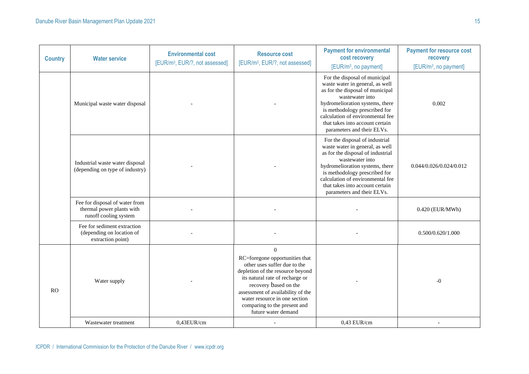| <b>Country</b> | <b>Water service</b>                                                                 | <b>Environmental cost</b><br>[EUR/m <sup>3</sup> , EUR/?, not assessed] | <b>Resource cost</b><br>[EUR/m <sup>3</sup> , EUR/?, not assessed]                                                                                                                                                                                                                                      | <b>Payment for environmental</b><br>cost recovery<br>[EUR/m <sup>3</sup> , no payment]                                                                                                                                                                                                             | <b>Payment for resource cost</b><br>recovery<br>[EUR/m <sup>3</sup> , no payment] |
|----------------|--------------------------------------------------------------------------------------|-------------------------------------------------------------------------|---------------------------------------------------------------------------------------------------------------------------------------------------------------------------------------------------------------------------------------------------------------------------------------------------------|----------------------------------------------------------------------------------------------------------------------------------------------------------------------------------------------------------------------------------------------------------------------------------------------------|-----------------------------------------------------------------------------------|
|                | Municipal waste water disposal                                                       |                                                                         |                                                                                                                                                                                                                                                                                                         | For the disposal of municipal<br>waste water in general, as well<br>as for the disposal of municipal<br>wastewater into<br>hydromelioration systems, there<br>is methodology prescribed for<br>calculation of environmental fee<br>that takes into account certain<br>parameters and their ELVs.   | 0.002                                                                             |
|                | Industrial waste water disposal<br>(depending on type of industry)                   |                                                                         |                                                                                                                                                                                                                                                                                                         | For the disposal of industrial<br>waste water in general, as well<br>as for the disposal of industrial<br>wastewater into<br>hydromelioration systems, there<br>is methodology prescribed for<br>calculation of environmental fee<br>that takes into account certain<br>parameters and their ELVs. | 0.044/0.026/0.024/0.012                                                           |
|                | Fee for disposal of water from<br>thermal power plants with<br>runoff cooling system |                                                                         |                                                                                                                                                                                                                                                                                                         |                                                                                                                                                                                                                                                                                                    | 0.420 (EUR/MWh)                                                                   |
|                | Fee for sediment extraction<br>(depending on location of<br>extraction point)        |                                                                         |                                                                                                                                                                                                                                                                                                         |                                                                                                                                                                                                                                                                                                    | 0.500/0.620/1.000                                                                 |
| <b>RO</b>      | Water supply                                                                         |                                                                         | $\Omega$<br>RC=foregone opportunities that<br>other uses suffer due to the<br>depletion of the resource beyond<br>its natural rate of recharge or<br>recovery based on the<br>assessment of availability of the<br>water resource in one section<br>comparing to the present and<br>future water demand |                                                                                                                                                                                                                                                                                                    | $-0$                                                                              |
|                | Wastewater treatment                                                                 | 0,43EUR/cm                                                              |                                                                                                                                                                                                                                                                                                         | $0,43$ EUR/cm                                                                                                                                                                                                                                                                                      |                                                                                   |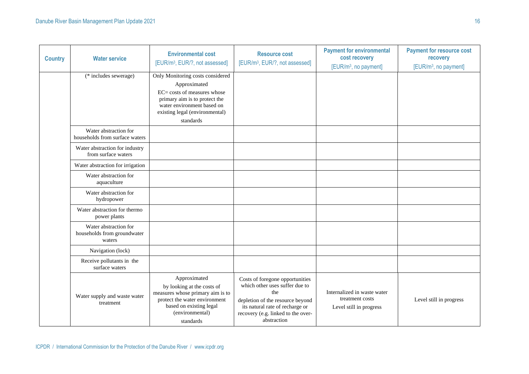| <b>Country</b> | <b>Water service</b>                                           | <b>Environmental cost</b><br>[EUR/m <sup>3</sup> , EUR/?, not assessed]                                                                                                                                 | <b>Resource cost</b><br>[EUR/m <sup>3</sup> , EUR/?, not assessed]                                                                                                                                   | <b>Payment for environmental</b><br>cost recovery<br>[EUR/m <sup>3</sup> , no payment] | <b>Payment for resource cost</b><br>recovery<br>[EUR/m <sup>3</sup> , no payment] |
|----------------|----------------------------------------------------------------|---------------------------------------------------------------------------------------------------------------------------------------------------------------------------------------------------------|------------------------------------------------------------------------------------------------------------------------------------------------------------------------------------------------------|----------------------------------------------------------------------------------------|-----------------------------------------------------------------------------------|
|                | $\overline{(*)}$ includes sewerage)                            | Only Monitoring costs considered<br>Approximated<br>$EC = \text{costs}$ of measures whose<br>primary aim is to protect the<br>water environment based on<br>existing legal (environmental)<br>standards |                                                                                                                                                                                                      |                                                                                        |                                                                                   |
|                | Water abstraction for<br>households from surface waters        |                                                                                                                                                                                                         |                                                                                                                                                                                                      |                                                                                        |                                                                                   |
|                | Water abstraction for industry<br>from surface waters          |                                                                                                                                                                                                         |                                                                                                                                                                                                      |                                                                                        |                                                                                   |
|                | Water abstraction for irrigation                               |                                                                                                                                                                                                         |                                                                                                                                                                                                      |                                                                                        |                                                                                   |
|                | Water abstraction for<br>aquaculture                           |                                                                                                                                                                                                         |                                                                                                                                                                                                      |                                                                                        |                                                                                   |
|                | Water abstraction for<br>hydropower                            |                                                                                                                                                                                                         |                                                                                                                                                                                                      |                                                                                        |                                                                                   |
|                | Water abstraction for thermo<br>power plants                   |                                                                                                                                                                                                         |                                                                                                                                                                                                      |                                                                                        |                                                                                   |
|                | Water abstraction for<br>households from groundwater<br>waters |                                                                                                                                                                                                         |                                                                                                                                                                                                      |                                                                                        |                                                                                   |
|                | Navigation (lock)                                              |                                                                                                                                                                                                         |                                                                                                                                                                                                      |                                                                                        |                                                                                   |
|                | Receive pollutants in the<br>surface waters                    |                                                                                                                                                                                                         |                                                                                                                                                                                                      |                                                                                        |                                                                                   |
|                | Water supply and waste water<br>treatment                      | Approximated<br>by looking at the costs of<br>measures whose primary aim is to<br>protect the water environment<br>based on existing legal<br>(environmental)<br>standards                              | Costs of foregone opportunities<br>which other uses suffer due to<br>the<br>depletion of the resource beyond<br>its natural rate of recharge or<br>recovery (e.g. linked to the over-<br>abstraction | Internalized in waste water<br>treatment costs<br>Level still in progress              | Level still in progress                                                           |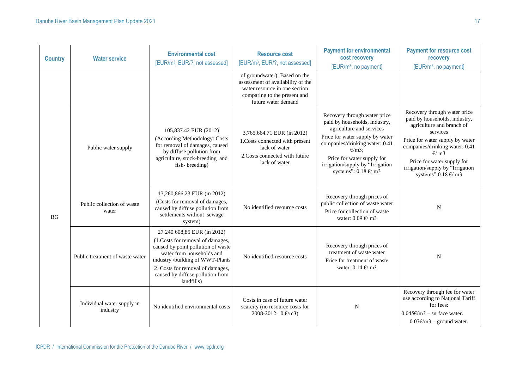| <b>Country</b> | <b>Water service</b>                   | <b>Environmental cost</b><br>[EUR/m <sup>3</sup> , EUR/?, not assessed]                                                                                                                                                                                      | <b>Resource cost</b><br>[EUR/m <sup>3</sup> , EUR/?, not assessed]                                                                                         | <b>Payment for environmental</b><br>cost recovery<br>[EUR/m <sup>3</sup> , no payment]                                                                                                                                                                                                | <b>Payment for resource cost</b><br>recovery<br>[EUR/m <sup>3</sup> , no payment]                                                                                                                                                                                                                         |
|----------------|----------------------------------------|--------------------------------------------------------------------------------------------------------------------------------------------------------------------------------------------------------------------------------------------------------------|------------------------------------------------------------------------------------------------------------------------------------------------------------|---------------------------------------------------------------------------------------------------------------------------------------------------------------------------------------------------------------------------------------------------------------------------------------|-----------------------------------------------------------------------------------------------------------------------------------------------------------------------------------------------------------------------------------------------------------------------------------------------------------|
|                |                                        |                                                                                                                                                                                                                                                              | of groundwater). Based on the<br>assessment of availability of the<br>water resource in one section<br>comparing to the present and<br>future water demand |                                                                                                                                                                                                                                                                                       |                                                                                                                                                                                                                                                                                                           |
| <b>BG</b>      | Public water supply                    | 105,837.42 EUR (2012)<br>(According Methodology: Costs<br>for removal of damages, caused<br>by diffuse pollution from<br>agriculture, stock-breeding and<br>fish-breeding)                                                                                   | 3,765,664.71 EUR (in 2012)<br>1. Costs connected with present<br>lack of water<br>2. Costs connected with future<br>lack of water                          | Recovery through water price<br>paid by households, industry,<br>agriculture and services<br>Price for water supply by water<br>companies/drinking water: 0.41<br>$\epsilon/m3$ ;<br>Price for water supply for<br>irrigation/supply by "Irrigation<br>systems": $0.18 \text{ E/m}$ 3 | Recovery through water price<br>paid by households, industry,<br>agriculture and branch of<br>services<br>Price for water supply by water<br>companies/drinking water: 0.41<br>$\epsilon$ / m3<br>Price for water supply for<br>irrigation/supply by "Irrigation<br>systems": $0.18 \text{ } \infty$ / m3 |
|                | Public collection of waste<br>water    | 13,260,866.23 EUR (in 2012)<br>(Costs for removal of damages,<br>caused by diffuse pollution from<br>settlements without sewage<br>system)                                                                                                                   | No identified resource costs                                                                                                                               | Recovery through prices of<br>public collection of waste water<br>Price for collection of waste<br>water: $0.09 \text{ E/m}$ 3                                                                                                                                                        | N                                                                                                                                                                                                                                                                                                         |
|                | Public treatment of waste water        | 27 240 608,85 EUR (in 2012)<br>(1.Costs for removal of damages,<br>caused by point pollution of waste<br>water from households and<br>industry /building of WWT-Plants<br>2. Costs for removal of damages,<br>caused by diffuse pollution from<br>landfills) | No identified resource costs                                                                                                                               | Recovery through prices of<br>treatment of waste water<br>Price for treatment of waste<br>water: $0.14 \text{ } \infty$ / m3                                                                                                                                                          | N                                                                                                                                                                                                                                                                                                         |
|                | Individual water supply in<br>industry | No identified environmental costs                                                                                                                                                                                                                            | Costs in case of future water<br>scarcity (no resource costs for<br>2008-2012: $0 \text{ } \infty$ /m3)                                                    | N                                                                                                                                                                                                                                                                                     | Recovery through fee for water<br>use according to National Tariff<br>for fees:<br>$0.045 \times (m3 - \text{surface water})$<br>$0.07 \epsilon/m3$ – ground water.                                                                                                                                       |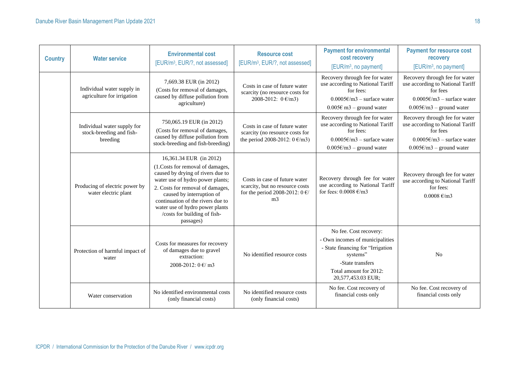| <b>Country</b> | <b>Environmental cost</b><br><b>Resource cost</b><br><b>Water service</b><br>[EUR/m <sup>3</sup> , EUR/?, not assessed] |                                                                                                                                                                                                                                                                                                                            | [EUR/m <sup>3</sup> , EUR/?, not assessed]                                                                                         | <b>Payment for environmental</b><br>cost recovery<br>[EUR/m <sup>3</sup> , no payment]                                                                                         | <b>Payment for resource cost</b><br>recovery<br>[EUR/m <sup>3</sup> , no payment]                                                                             |
|----------------|-------------------------------------------------------------------------------------------------------------------------|----------------------------------------------------------------------------------------------------------------------------------------------------------------------------------------------------------------------------------------------------------------------------------------------------------------------------|------------------------------------------------------------------------------------------------------------------------------------|--------------------------------------------------------------------------------------------------------------------------------------------------------------------------------|---------------------------------------------------------------------------------------------------------------------------------------------------------------|
|                | Individual water supply in<br>agriculture for irrigation                                                                | 7,669.38 EUR (in 2012)<br>(Costs for removal of damages,<br>caused by diffuse pollution from<br>agriculture)                                                                                                                                                                                                               | Costs in case of future water<br>scarcity (no resource costs for<br>2008-2012: $0 \text{ } \infty$ /m3)                            | Recovery through fee for water<br>use according to National Tariff<br>for fees:<br>$0.0005 \text{E/m}$ 3 – surface water<br>$0.005 \text{ } \in \text{ } m3$ – ground water    | Recovery through fee for water<br>use according to National Tariff<br>for fees<br>$0.0005 \epsilon/m3$ – surface water<br>$0.005 \text{E/m}$ 3 – ground water |
|                | Individual water supply for<br>stock-breeding and fish-<br>breeding                                                     | 750,065.19 EUR (in 2012)<br>(Costs for removal of damages,<br>caused by diffuse pollution from<br>stock-breeding and fish-breeding)                                                                                                                                                                                        | Costs in case of future water<br>scarcity (no resource costs for<br>the period 2008-2012: $0 \text{ } \infty$ /m3)                 | Recovery through fee for water<br>use according to National Tariff<br>for fees:<br>$0.0005 \epsilon/m3$ – surface water<br>$0.005 \text{E/m}$ 3 – ground water                 | Recovery through fee for water<br>use according to National Tariff<br>for fees<br>$0.0005 \epsilon/m3$ – surface water<br>$0.005 \text{E/m}$ 3 – ground water |
|                | Producing of electric power by<br>water electric plant                                                                  | 16,361.34 EUR (in 2012)<br>(1.Costs for removal of damages,<br>caused by drying of rivers due to<br>water use of hydro power plants;<br>2. Costs for removal of damages,<br>caused by interruption of<br>continuation of the rivers due to<br>water use of hydro power plants<br>/costs for building of fish-<br>passages) | Costs in case of future water<br>scarcity, but no resource costs<br>for the period 2008-2012: $0 \text{ } \in$ /<br>m <sub>3</sub> | Recovery through fee for water<br>use according to National Tariff<br>for fees: $0.0008 \text{ E/m}$ 3                                                                         | Recovery through fee for water<br>use according to National Tariff<br>for fees:<br>$0.0008 \text{ E/m}$ 3                                                     |
|                | Protection of harmful impact of<br>water                                                                                | Costs for measures for recovery<br>of damages due to gravel<br>extraction:<br>2008-2012: 0 €/ m3                                                                                                                                                                                                                           | No identified resource costs                                                                                                       | No fee. Cost recovery:<br>- Own incomes of municipalities<br>- State financing for "Irrigation<br>systems"<br>-State transfers<br>Total amount for 2012:<br>20,577,453.03 EUR; | No                                                                                                                                                            |
|                | Water conservation                                                                                                      | No identified environmental costs<br>(only financial costs)                                                                                                                                                                                                                                                                | No identified resource costs<br>(only financial costs)                                                                             | No fee. Cost recovery of<br>financial costs only                                                                                                                               | No fee. Cost recovery of<br>financial costs only                                                                                                              |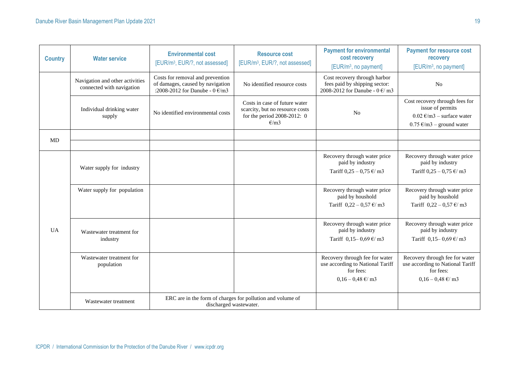| <b>Country</b> | <b>Water service</b>                                                                                         | <b>Environmental cost</b><br>[EUR/m <sup>3</sup> , EUR/?, not assessed]                                           | <b>Resource cost</b><br>[EUR/m <sup>3</sup> , EUR/?, not assessed]                                      | <b>Payment for environmental</b><br>cost recovery<br>[EUR/m <sup>3</sup> , no payment]                              | <b>Payment for resource cost</b><br>recovery<br>[EUR/m <sup>3</sup> , no payment]                                                       |
|----------------|--------------------------------------------------------------------------------------------------------------|-------------------------------------------------------------------------------------------------------------------|---------------------------------------------------------------------------------------------------------|---------------------------------------------------------------------------------------------------------------------|-----------------------------------------------------------------------------------------------------------------------------------------|
|                | Navigation and other activities<br>connected with navigation                                                 | Costs for removal and prevention<br>of damages, caused by navigation<br>:2008-2012 for Danube - $0 \text{ E/m}$ 3 | No identified resource costs                                                                            | Cost recovery through harbor<br>fees paid by shipping sector:<br>2008-2012 for Danube - $0 \text{ } \infty$ m3      | N <sub>o</sub>                                                                                                                          |
|                | Individual drinking water<br>supply                                                                          | No identified environmental costs                                                                                 | Costs in case of future water<br>scarcity, but no resource costs<br>for the period 2008-2012: 0<br>E/m3 | N <sub>o</sub>                                                                                                      | Cost recovery through fees for<br>issue of permits<br>$0.02 \text{ E/m}$ 3 – surface water<br>$0.75 \text{ } \infty$ /m3 – ground water |
| MD             |                                                                                                              |                                                                                                                   |                                                                                                         |                                                                                                                     |                                                                                                                                         |
|                | Water supply for industry                                                                                    |                                                                                                                   |                                                                                                         | Recovery through water price<br>paid by industry<br>Tariff $0.25 - 0.75 \text{ } \infty$ m3                         | Recovery through water price<br>paid by industry<br>Tariff $0,25 - 0,75 \text{ } \infty$ m3                                             |
| <b>UA</b>      | Water supply for population                                                                                  |                                                                                                                   |                                                                                                         | Recovery through water price<br>paid by houshold<br>Tariff $0,22 - 0,57 \text{ } \infty$ m3                         | Recovery through water price<br>paid by houshold<br>Tariff $0,22 - 0,57 \text{ } \infty$ m3                                             |
|                | Wastewater treatment for<br>industry                                                                         |                                                                                                                   |                                                                                                         | Recovery through water price<br>paid by industry<br>Tariff $0,15 - 0,69 \text{ E/m}$ 3                              | Recovery through water price<br>paid by industry<br>Tariff $0,15 - 0,69 \text{ E/m}$ 3                                                  |
|                | Wastewater treatment for<br>population                                                                       |                                                                                                                   |                                                                                                         | Recovery through fee for water<br>use according to National Tariff<br>for fees:<br>$0,16 - 0,48 \text{ } \infty$ m3 | Recovery through fee for water<br>use according to National Tariff<br>for fees:<br>$0,16 - 0,48 \text{ } \infty$ m3                     |
|                | ERC are in the form of charges for pollution and volume of<br>Wastewater treatment<br>discharged wastewater. |                                                                                                                   |                                                                                                         |                                                                                                                     |                                                                                                                                         |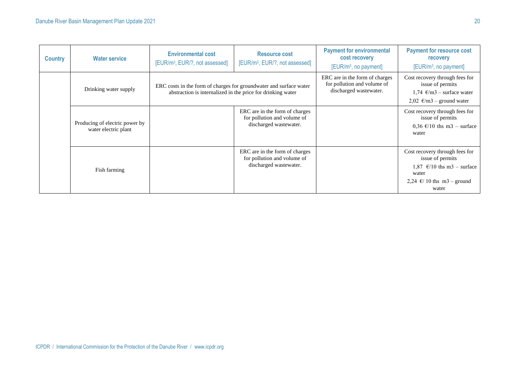| <b>Country</b> | <b>Water service</b>                                   | <b>Environmental cost</b><br>[EUR/m <sup>3</sup> , EUR/?, not assessed]                                                           | <b>Resource cost</b><br>[EUR/m <sup>3</sup> , EUR/?, not assessed]                      | <b>Payment for environmental</b><br>cost recovery<br>[EUR/m <sup>3</sup> , no payment]  | <b>Payment for resource cost</b><br>recovery<br>[EUR/m <sup>3</sup> , no payment]                                                                    |
|----------------|--------------------------------------------------------|-----------------------------------------------------------------------------------------------------------------------------------|-----------------------------------------------------------------------------------------|-----------------------------------------------------------------------------------------|------------------------------------------------------------------------------------------------------------------------------------------------------|
|                | Drinking water supply                                  | ERC costs in the form of charges for groundwater and surface water<br>abstraction is internalized in the price for drinking water |                                                                                         | ERC are in the form of charges<br>for pollution and volume of<br>discharged wastewater. | Cost recovery through fees for<br>issue of permits<br>1,74 $\epsilon/m3$ – surface water<br>2,02 €/m3 – ground water                                 |
|                | Producing of electric power by<br>water electric plant |                                                                                                                                   | ERC are in the form of charges<br>for pollution and volume of<br>discharged wastewater. |                                                                                         | Cost recovery through fees for<br>issue of permits<br>0,36 $\epsilon$ /10 ths m3 – surface<br>water                                                  |
|                | Fish farming                                           |                                                                                                                                   | ERC are in the form of charges<br>for pollution and volume of<br>discharged wastewater. |                                                                                         | Cost recovery through fees for<br>issue of permits<br>1,87 $\epsilon$ /10 ths m3 – surface<br>water<br>2,24 $\epsilon$ / 10 ths m3 – ground<br>water |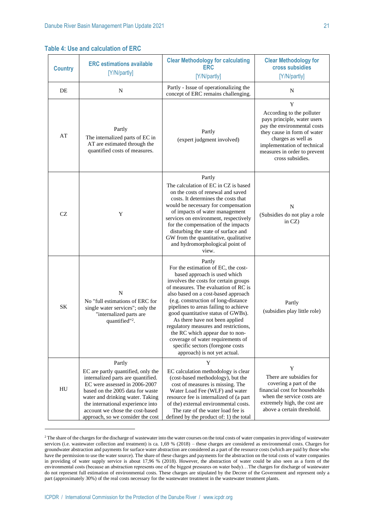**Table 4: Use and calculation of ERC**

| <b>Country</b> | <b>Clear Methodology for calculating</b><br><b>ERC</b> estimations available<br><b>ERC</b><br>[Y/N/partly]<br>[Y/N/partly]                                                                                                                                                                               |                                                                                                                                                                                                                                                                                                                                                                                                                                                                                                                                                    | <b>Clear Methodology for</b><br>cross subsidies<br>[Y/N/partly]                                                                                                                                                                      |
|----------------|----------------------------------------------------------------------------------------------------------------------------------------------------------------------------------------------------------------------------------------------------------------------------------------------------------|----------------------------------------------------------------------------------------------------------------------------------------------------------------------------------------------------------------------------------------------------------------------------------------------------------------------------------------------------------------------------------------------------------------------------------------------------------------------------------------------------------------------------------------------------|--------------------------------------------------------------------------------------------------------------------------------------------------------------------------------------------------------------------------------------|
| DE             | N                                                                                                                                                                                                                                                                                                        | Partly - Issue of operationalizing the<br>concept of ERC remains challenging.                                                                                                                                                                                                                                                                                                                                                                                                                                                                      | N                                                                                                                                                                                                                                    |
| AT             | Partly<br>The internalized parts of EC in<br>AT are estimated through the<br>quantified costs of measures.                                                                                                                                                                                               | Partly<br>(expert judgment involved)                                                                                                                                                                                                                                                                                                                                                                                                                                                                                                               | Y<br>According to the polluter<br>pays principle, water users<br>pay the environmental costs<br>they cause in form of water<br>charges as well as<br>implementation of technical<br>measures in order to prevent<br>cross subsidies. |
| <b>CZ</b>      | Y                                                                                                                                                                                                                                                                                                        | Partly<br>The calculation of EC in CZ is based<br>on the costs of renewal and saved<br>costs. It determines the costs that<br>would be necessary for compensation<br>of impacts of water management<br>services on environment, respectively<br>for the compensation of the impacts<br>disturbing the state of surface and<br>GW from the quantitative, qualitative<br>and hydromorphological point of<br>view.                                                                                                                                    | N<br>(Subsidies do not play a role<br>in $CZ$ )                                                                                                                                                                                      |
| <b>SK</b>      | N<br>No "full estimations of ERC for<br>single water services"; only the<br>"internalized parts are<br>quantified" <sup>2</sup> .                                                                                                                                                                        | Partly<br>For the estimation of EC, the cost-<br>based approach is used which<br>involves the costs for certain groups<br>of measures. The evaluation of RC is<br>also based on a cost-based approach<br>(e.g. construction of long-distance<br>pipelines to areas failing to achieve<br>good quantitative status of GWBs).<br>As there have not been applied<br>regulatory measures and restrictions,<br>the RC which appear due to non-<br>coverage of water requirements of<br>specific sectors (foregone costs<br>approach) is not yet actual. | Partly<br>(subsidies play little role)                                                                                                                                                                                               |
| HU             | Partly<br>EC are partly quantified, only the<br>internalized parts are quantified.<br>EC were assessed in 2006-2007<br>based on the 2005 data for waste<br>water and drinking water. Taking<br>the international experience into<br>account we chose the cost-based<br>approach, so we consider the cost | Y<br>EC calculation methodology is clear<br>(cost-based methodology), but the<br>cost of measures is missing. The<br>Water Load Fee (WLF) and water<br>resource fee is internalized of (a part<br>of the) external environmental costs.<br>The rate of the water load fee is<br>defined by the product of: 1) the total                                                                                                                                                                                                                            | Y<br>There are subsidies for<br>covering a part of the<br>financial cost for households<br>when the service costs are.<br>extremely high, the cost are<br>above a certain threshold.                                                 |

<sup>&</sup>lt;sup>2</sup> The share of the charges for the discharge of wastewater into the water courses on the total costs of water companies in providing of wastewater services (i.e. wastewater collection and treatment) is ca. 1,69 % (2018) – these charges are considered as environmental costs. Charges for groundwater abstraction and payments for surface water abstraction are considered as a part of the resource costs (which are paid by those who have the permission to use the water source). The share of these charges and payments for the abstraction on the total costs of water companies in providing of water supply service is about 17,96 % (2018). However, the abstraction of water could be also seen as a form of the environmental costs (because an abstraction represents one of the biggest pressures on water body)…The charges for discharge of wastewater do not represent full estimation of environmental costs. These charges are stipulated by the Decree of the Government and represent only a part (approximately 30%) of the real costs necessary for the wastewater treatment in the wastewater treatment plants.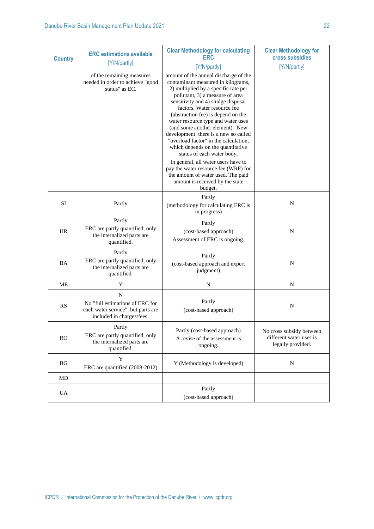| <b>Country</b> | <b>ERC</b> estimations available                                                                                  | <b>Clear Methodology for calculating</b><br><b>ERC</b>                                                                                                                                                                                                                                                                                                                                                                                                                                          | <b>Clear Methodology for</b><br>cross subsidies                          |
|----------------|-------------------------------------------------------------------------------------------------------------------|-------------------------------------------------------------------------------------------------------------------------------------------------------------------------------------------------------------------------------------------------------------------------------------------------------------------------------------------------------------------------------------------------------------------------------------------------------------------------------------------------|--------------------------------------------------------------------------|
|                | [Y/N/partly]                                                                                                      | [Y/N/partly]                                                                                                                                                                                                                                                                                                                                                                                                                                                                                    | [Y/N/partly]                                                             |
|                | of the remaining measures<br>needed in order to achieve "good<br>status" as EC.                                   | amount of the annual discharge of the<br>contaminant measured in kilograms,<br>2) multiplied by a specific rate per<br>pollutant, 3) a measure of area<br>sensitivity and 4) sludge disposal<br>factors. Water resource fee<br>(abstraction fee) is depend on the<br>water resource type and water uses<br>(and some another element). New<br>development: there is a new so called<br>"overload factor" in the calculation,<br>which depends on the quantitative<br>status of each water body. |                                                                          |
|                |                                                                                                                   | In general, all water users have to<br>pay the water resource fee (WRF) for<br>the amount of water used. The paid<br>amount is received by the state<br>budget.                                                                                                                                                                                                                                                                                                                                 |                                                                          |
| SI             | Partly                                                                                                            | Partly<br>(methodology for calculating ERC is<br>in progress)                                                                                                                                                                                                                                                                                                                                                                                                                                   | $\mathbf N$                                                              |
| <b>HR</b>      | Partly<br>ERC are partly quantified, only<br>the internalized parts are<br>quantified.                            | Partly<br>(cost-based approach)<br>Assessment of ERC is ongoing.                                                                                                                                                                                                                                                                                                                                                                                                                                | $\mathbf N$                                                              |
| <b>BA</b>      | Partly<br>ERC are partly quantified, only<br>the internalized parts are<br>quantified.                            | Partly<br>(cost-based approach and expert<br>judgment)                                                                                                                                                                                                                                                                                                                                                                                                                                          | N                                                                        |
| <b>ME</b>      | Y                                                                                                                 | $\mathbf N$                                                                                                                                                                                                                                                                                                                                                                                                                                                                                     | $\mathbf N$                                                              |
| RS             | $\mathbf N$<br>No "full estimations of ERC for<br>each water service", but parts are<br>included in charges/fees. | Partly<br>(cost-based approach)                                                                                                                                                                                                                                                                                                                                                                                                                                                                 | N                                                                        |
| RO             | Partly<br>ERC are partly quantified, only<br>the internalized parts are<br>quantified.                            | Partly (cost-based approach)<br>A revise of the assessment is<br>ongoing.                                                                                                                                                                                                                                                                                                                                                                                                                       | No cross subsidy between<br>different water uses is<br>legally provided. |
| BG             | Y<br>ERC are quantified (2008-2012)                                                                               | Y (Methodology is developed)                                                                                                                                                                                                                                                                                                                                                                                                                                                                    | N                                                                        |
| MD             |                                                                                                                   |                                                                                                                                                                                                                                                                                                                                                                                                                                                                                                 |                                                                          |
| UA             |                                                                                                                   | Partly<br>(cost-based approach)                                                                                                                                                                                                                                                                                                                                                                                                                                                                 |                                                                          |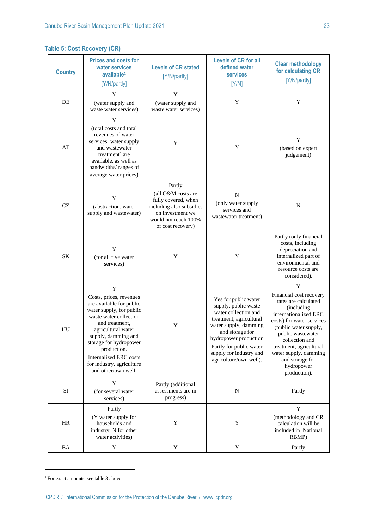| <b>Country</b> | <b>Prices and costs for</b><br>water services<br>available <sup>3</sup><br>[Y/N/partly]                                                                                                                                                                                                                     | <b>Levels of CR stated</b><br>[Y/N/partly]                                                                                                       | <b>Levels of CR for all</b><br>defined water<br><b>services</b><br>[Y/N]                                                                                                                                                                             | <b>Clear methodology</b><br>for calculating CR<br>[Y/N/partly]                                                                                                                                                                                                                                |
|----------------|-------------------------------------------------------------------------------------------------------------------------------------------------------------------------------------------------------------------------------------------------------------------------------------------------------------|--------------------------------------------------------------------------------------------------------------------------------------------------|------------------------------------------------------------------------------------------------------------------------------------------------------------------------------------------------------------------------------------------------------|-----------------------------------------------------------------------------------------------------------------------------------------------------------------------------------------------------------------------------------------------------------------------------------------------|
| DE             | Y<br>(water supply and<br>waste water services)                                                                                                                                                                                                                                                             | Y<br>(water supply and<br>waste water services)                                                                                                  | Y                                                                                                                                                                                                                                                    | Y                                                                                                                                                                                                                                                                                             |
| AT             | Y<br>(total costs and total<br>revenues of water<br>services [water supply<br>and wastewater<br>treatment] are<br>available, as well as<br>bandwidths/ranges of<br>average water prices)                                                                                                                    | Y                                                                                                                                                | Y                                                                                                                                                                                                                                                    | Y<br>(based on expert<br>judgement)                                                                                                                                                                                                                                                           |
| CZ             | Y<br>(abstraction, water<br>supply and wastewater)                                                                                                                                                                                                                                                          | Partly<br>(all O&M costs are<br>fully covered, when<br>including also subsidies<br>on investment we<br>would not reach 100%<br>of cost recovery) | N<br>(only water supply<br>services and<br>wastewater treatment)                                                                                                                                                                                     | N                                                                                                                                                                                                                                                                                             |
| <b>SK</b>      | Y<br>(for all five water<br>services)                                                                                                                                                                                                                                                                       | Y                                                                                                                                                | Y                                                                                                                                                                                                                                                    | Partly (only financial<br>costs, including<br>depreciation and<br>internalized part of<br>environmental and<br>resource costs are<br>considered).                                                                                                                                             |
| HU             | Y<br>Costs, prices, revenues<br>are available for public<br>water supply, for public<br>waste water collection<br>and treatment.<br>agricultural water<br>supply, damming and<br>storage for hydropower<br>production.<br><b>Internalized ERC</b> costs<br>for industry, agriculture<br>and other/own well. | Y                                                                                                                                                | Yes for public water<br>supply, public waste<br>water collection and<br>treatment, agricultural<br>water supply, damming<br>and storage for<br>hydropower production<br>Partly for public water<br>supply for industry and<br>agriculture/own well). | Y<br>Financial cost recovery<br>rates are calculated<br>(including<br>internationalized ERC<br>costs) for water services<br>(public water supply,<br>public wastewater<br>collection and<br>treatment, agricultural<br>water supply, damming<br>and storage for<br>hydropower<br>production). |
| $\rm SI$       | Y<br>(for several water<br>services)                                                                                                                                                                                                                                                                        | Partly (additional<br>assessments are in<br>progress)                                                                                            | N                                                                                                                                                                                                                                                    | Partly                                                                                                                                                                                                                                                                                        |
| HR             | Partly<br>(Y water supply for<br>households and<br>industry, N for other<br>water activities)                                                                                                                                                                                                               | Y                                                                                                                                                | Y                                                                                                                                                                                                                                                    | Y<br>(methodology and CR<br>calculation will be<br>included in National<br>RBMP)                                                                                                                                                                                                              |
| BA             | Y                                                                                                                                                                                                                                                                                                           | Y                                                                                                                                                | Y                                                                                                                                                                                                                                                    | Partly                                                                                                                                                                                                                                                                                        |

<sup>&</sup>lt;sup>3</sup> For exact amounts, see table 3 above.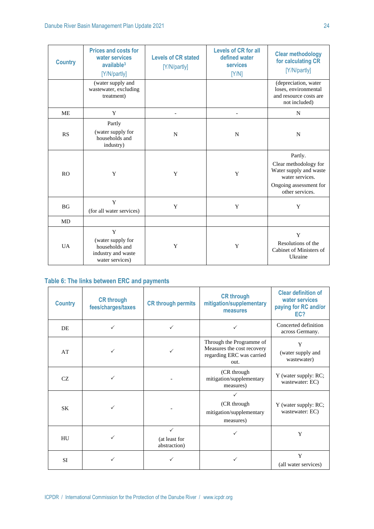| <b>Country</b> | <b>Prices and costs for</b><br>water services<br>available <sup>3</sup><br>[Y/N/partly] | <b>Levels of CR stated</b><br>[Y/N/partly] | <b>Levels of CR for all</b><br>defined water<br><b>services</b><br>[Y/N] | <b>Clear methodology</b><br>for calculating CR<br>[Y/N/partly]                                                             |
|----------------|-----------------------------------------------------------------------------------------|--------------------------------------------|--------------------------------------------------------------------------|----------------------------------------------------------------------------------------------------------------------------|
|                | (water supply and<br>wastewater, excluding<br>treatment)                                |                                            |                                                                          | (depreciation, water<br>loses, environmental<br>and resource costs are<br>not included)                                    |
| <b>ME</b>      | Y                                                                                       |                                            |                                                                          | N                                                                                                                          |
| RS             | Partly<br>(water supply for<br>households and<br>industry)                              | N                                          | N                                                                        | N                                                                                                                          |
| <b>RO</b>      | Y                                                                                       | Y                                          | Y                                                                        | Partly.<br>Clear methodology for<br>Water supply and waste<br>water services.<br>Ongoing assessment for<br>other services. |
| <b>BG</b>      | $\mathbf Y$<br>(for all water services)                                                 | Y                                          | Y                                                                        | Y                                                                                                                          |
| MD             |                                                                                         |                                            |                                                                          |                                                                                                                            |
| U A            | Y<br>(water supply for<br>households and<br>industry and waste<br>water services)       | Y                                          | Y                                                                        | Y<br>Resolutions of the<br>Cabinet of Ministers of<br>Ukraine                                                              |

# **Table 6: The links between ERC and payments**

| <b>Country</b> | <b>CR through</b><br>fees/charges/taxes | <b>CR through permits</b>                     | <b>CR through</b><br>mitigation/supplementary<br>measures                                   | <b>Clear definition of</b><br>water services<br>paying for RC and/or<br>EC? |
|----------------|-----------------------------------------|-----------------------------------------------|---------------------------------------------------------------------------------------------|-----------------------------------------------------------------------------|
| <b>DE</b>      | $\checkmark$                            | $\checkmark$                                  |                                                                                             | Concerted definition<br>across Germany.                                     |
| AT             | ✓                                       | $\checkmark$                                  | Through the Programme of<br>Measures the cost recovery<br>regarding ERC was carried<br>out. | Y<br>(water supply and<br>wastewater)                                       |
| <b>CZ</b>      |                                         |                                               | (CR through<br>mitigation/supplementary<br>measures)                                        | Y (water supply: RC;<br>wastewater: EC)                                     |
| <b>SK</b>      |                                         |                                               | (CR through<br>mitigation/supplementary<br>measures)                                        | Y (water supply: RC;<br>wastewater: EC)                                     |
| HU             |                                         | $\checkmark$<br>(at least for<br>abstraction) |                                                                                             | Y                                                                           |
| <b>SI</b>      |                                         |                                               |                                                                                             | Y<br>(all water services)                                                   |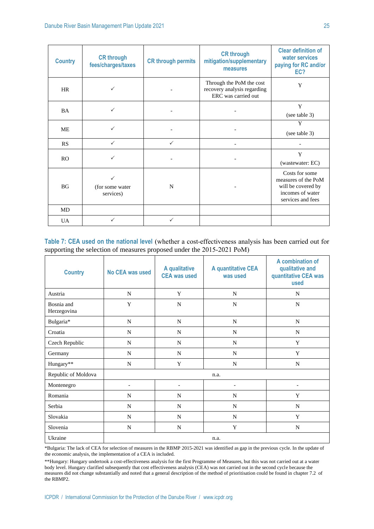| <b>Country</b> | <b>CR through</b><br>fees/charges/taxes | <b>CR through permits</b> | <b>CR through</b><br>mitigation/supplementary<br>measures                      | <b>Clear definition of</b><br>water services<br>paying for RC and/or<br>EC?                          |
|----------------|-----------------------------------------|---------------------------|--------------------------------------------------------------------------------|------------------------------------------------------------------------------------------------------|
| HR             | $\checkmark$                            |                           | Through the PoM the cost<br>recovery analysis regarding<br>ERC was carried out | Y                                                                                                    |
| <b>BA</b>      | ✓                                       |                           |                                                                                | Y<br>(see table 3)                                                                                   |
| <b>ME</b>      | $\checkmark$                            |                           |                                                                                | Y<br>(see table 3)                                                                                   |
| RS             | $\checkmark$                            | $\checkmark$              |                                                                                |                                                                                                      |
| R <sub>O</sub> | $\checkmark$                            |                           |                                                                                | $\mathbf Y$<br>(wastewater: EC)                                                                      |
| <b>BG</b>      | ✓<br>(for some water<br>services)       | N                         |                                                                                | Costs for some<br>measures of the PoM<br>will be covered by<br>incomes of water<br>services and fees |
| <b>MD</b>      |                                         |                           |                                                                                |                                                                                                      |
| <b>UA</b>      | ✓                                       |                           |                                                                                |                                                                                                      |

Table 7: CEA used on the national level (whether a cost-effectiveness analysis has been carried out for supporting the selection of measures proposed under the 2015-2021 PoM)

| <b>Country</b>            | No CEA was used          | A qualitative<br><b>CEA was used</b> | A quantitative CEA<br>was used | A combination of<br>qualitative and<br>quantitative CEA was<br>used |
|---------------------------|--------------------------|--------------------------------------|--------------------------------|---------------------------------------------------------------------|
| Austria                   | N                        | Y                                    | N                              | N                                                                   |
| Bosnia and<br>Herzegovina | Y                        | N                                    | N                              | N                                                                   |
| Bulgaria*                 | $\mathbf N$              | $\mathbf N$                          | ${\bf N}$                      | $\mathbf N$                                                         |
| Croatia                   | $\mathbf N$              | $\mathbf N$                          | $\mathbf N$                    | $\mathbf N$                                                         |
| Czech Republic            | $\mathbf N$              | N                                    | $\mathbf N$                    | Y                                                                   |
| Germany                   | N                        | N                                    | N                              | Y                                                                   |
| Hungary**                 | N                        | Y                                    | N                              | N                                                                   |
| Republic of Moldova       |                          |                                      | n.a.                           |                                                                     |
| Montenegro                | $\overline{\phantom{0}}$ | $\overline{\phantom{a}}$             |                                | $\overline{\phantom{a}}$                                            |
| Romania                   | N                        | $\mathbf N$                          | N                              | Y                                                                   |
| Serbia                    | N                        | $\mathbf N$                          | N                              | $\mathbf N$                                                         |
| Slovakia                  | N                        | $\mathbf N$                          | $\mathbf N$                    | Y                                                                   |
| Slovenia                  | N                        | N                                    | Y                              | N                                                                   |
| Ukraine                   |                          |                                      | n.a.                           |                                                                     |

\*Bulgaria: The lack of CEA for selection of measures in the RBMP 2015-2021 was identified as gap in the previous cycle. In the update of the economic analysis, the implementation of a CEA is included.

\*\*Hungary: Hungary undertook a cost-effectiveness analysis for the first Programme of Measures, but this was not carried out at a water body level. Hungary clarified subsequently that cost effectiveness analysis (CEA) was not carried out in the second cycle because the measures did not change substantially and noted that a general description of the method of prioritisation could be found in chapter 7.2 of the RBMP2.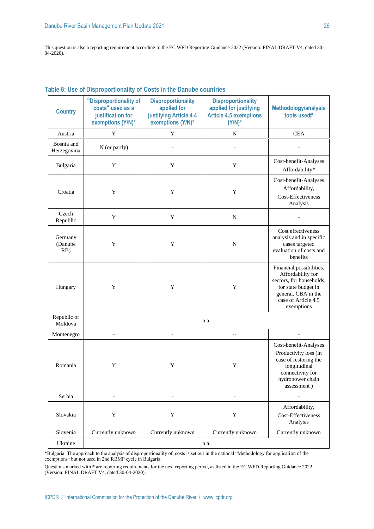This question is also a reporting requirement according to the EC WFD Reporting Guidance 2022 (Version: FINAL DRAFT V4, dated 30- 04-2020).

| <b>Country</b>            | "Disproportionality of<br>costs" used as a<br>justification for<br>exemptions (Y/N)* | <b>Disproportionality</b><br>applied for<br>justifying Article 4.4<br>exemptions (Y/N)* | <b>Disproportionality</b><br>applied for justifying<br><b>Article 4.5 exemptions</b><br>$(Y/N)^*$ | Methodology/analysis<br>tools used#                                                                                                                          |
|---------------------------|--------------------------------------------------------------------------------------|-----------------------------------------------------------------------------------------|---------------------------------------------------------------------------------------------------|--------------------------------------------------------------------------------------------------------------------------------------------------------------|
| Austria                   | $\mathbf Y$                                                                          | $\mathbf Y$                                                                             | N                                                                                                 | <b>CEA</b>                                                                                                                                                   |
| Bosnia and<br>Herzegovina | N (or partly)                                                                        | $\overline{a}$                                                                          |                                                                                                   |                                                                                                                                                              |
| Bulgaria                  | Y                                                                                    | Y                                                                                       | Y                                                                                                 | Cost-benefit-Analyses<br>Affordability*                                                                                                                      |
| Croatia                   | Y                                                                                    | Y                                                                                       | Y                                                                                                 | Cost-benefit-Analyses<br>Affordability,<br>Cost-Effectiveness<br>Analysis                                                                                    |
| Czech<br>Republic         | Y                                                                                    | Y                                                                                       | $\mathbf N$                                                                                       |                                                                                                                                                              |
| Germany<br>(Danube<br>RB) | Y                                                                                    | Y                                                                                       | N                                                                                                 | Cost effectiveness<br>analysis and in specific<br>cases targeted<br>evaluation of costs and<br>benefits                                                      |
| Hungary                   | Y                                                                                    | Y                                                                                       | Y                                                                                                 | Financial possibilities,<br>Affordability for<br>sectors, for households,<br>for state budget in<br>general, CBA in the<br>case of Article 4.5<br>exemptions |
| Republic of<br>Moldova    |                                                                                      |                                                                                         | n.a.                                                                                              |                                                                                                                                                              |
| Montenegro                | $\overline{a}$                                                                       | $\overline{a}$                                                                          | $-$                                                                                               | $\overline{\phantom{a}}$                                                                                                                                     |
| Romania                   | Y                                                                                    | Y                                                                                       | Y                                                                                                 | Cost-benefit-Analyses<br>Productivity loss (in<br>case of restoring the<br>longitudinal<br>connectivity for<br>hydropower chain<br>assessment)               |
| Serbia                    |                                                                                      | $\overline{a}$                                                                          |                                                                                                   | $\qquad \qquad \Box$                                                                                                                                         |
| Slovakia                  | Y                                                                                    | Y                                                                                       | $\mathbf Y$                                                                                       | Affordability,<br>Cost-Effectiveness<br>Analysis                                                                                                             |
| Slovenia                  | Currently unknown                                                                    | Currently unknown                                                                       | Currently unknown                                                                                 | Currently unknown                                                                                                                                            |
| Ukraine                   |                                                                                      |                                                                                         | n.a.                                                                                              |                                                                                                                                                              |

# **Table 8: Use of Disproportionality of Costs in the Danube countries**

\*Bulgaria: The approach to the analysis of disproportionality of costs is set out in the national "Methodology for application of the exemptions" but not used in 2nd RBMP cycle in Bulgaria.

Questions marked with \* are reporting requirements for the next reporting period, as listed in the EC WFD Reporting Guidance 2022 (Version: FINAL DRAFT V4, dated 30-04-2020).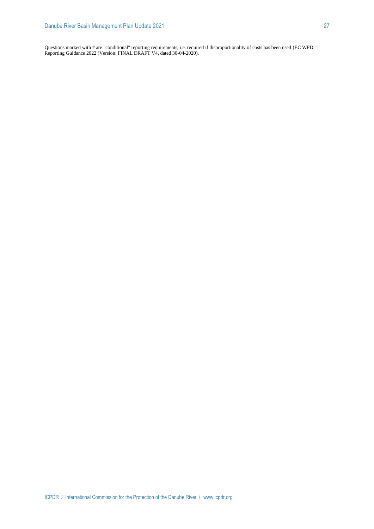Questions marked with # are "conditional" reporting requirements, i.e. required if disproportionality of costs has been used (EC WFD Reporting Guidance 2022 (Version: FINAL DRAFT V4, dated 30-04-2020).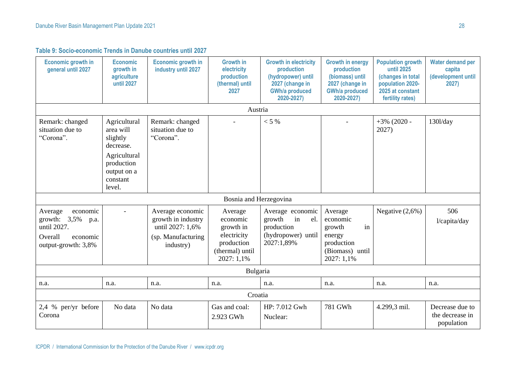**Table 9: Socio-economic Trends in Danube countries until 2027**

| <b>Economic growth in</b><br>general until 2027                                                             | <b>Economic</b><br>growth in<br>agriculture<br>until 2027                                                             | <b>Economic growth in</b><br>industry until 2027                                              | <b>Growth in</b><br>electricity<br>production<br>(thermal) until<br>2027                       | <b>Growth in electricity</b><br>production<br>(hydropower) until<br>2027 (change in<br><b>GWh/a produced</b><br>2020-2027) | <b>Growth in energy</b><br>production<br>(biomass) until<br>2027 (change in<br><b>GWh/a produced</b><br>2020-2027) | <b>Population growth</b><br>until 2025<br>(changes in total<br>population 2020-<br>2025 at constant<br>fertility rates) | Water demand per<br>capita<br>(development until<br>2027) |
|-------------------------------------------------------------------------------------------------------------|-----------------------------------------------------------------------------------------------------------------------|-----------------------------------------------------------------------------------------------|------------------------------------------------------------------------------------------------|----------------------------------------------------------------------------------------------------------------------------|--------------------------------------------------------------------------------------------------------------------|-------------------------------------------------------------------------------------------------------------------------|-----------------------------------------------------------|
|                                                                                                             |                                                                                                                       |                                                                                               | Austria                                                                                        |                                                                                                                            |                                                                                                                    |                                                                                                                         |                                                           |
| Remark: changed<br>situation due to<br>"Corona".                                                            | Agricultural<br>area will<br>slightly<br>decrease.<br>Agricultural<br>production<br>output on a<br>constant<br>level. | Remark: changed<br>situation due to<br>"Corona".                                              |                                                                                                | $< 5 \%$                                                                                                                   |                                                                                                                    | $+3\%$ (2020 -<br>2027)                                                                                                 | $1301$ /day                                               |
|                                                                                                             |                                                                                                                       |                                                                                               | Bosnia and Herzegovina                                                                         |                                                                                                                            |                                                                                                                    |                                                                                                                         |                                                           |
| economic<br>Average<br>growth: $3,5\%$<br>p.a.<br>until 2027.<br>Overall<br>economic<br>output-growth: 3,8% |                                                                                                                       | Average economic<br>growth in industry<br>until 2027: 1,6%<br>(sp. Manufacturing<br>industry) | Average<br>economic<br>growth in<br>electricity<br>production<br>(thermal) until<br>2027: 1,1% | Average economic<br>in<br>growth<br>el.<br>production<br>(hydropower) until<br>2027:1,89%                                  | Average<br>economic<br>in<br>growth<br>energy<br>production<br>(Biomass) until<br>2027: 1,1%                       | Negative $(2,6\%)$                                                                                                      | 506<br>l/capita/day                                       |
|                                                                                                             |                                                                                                                       |                                                                                               | Bulgaria                                                                                       |                                                                                                                            |                                                                                                                    |                                                                                                                         |                                                           |
| n.a.                                                                                                        | n.a.                                                                                                                  | n.a.                                                                                          | n.a.                                                                                           | n.a.                                                                                                                       | n.a.                                                                                                               | n.a.                                                                                                                    | n.a.                                                      |
|                                                                                                             |                                                                                                                       |                                                                                               | Croatia                                                                                        |                                                                                                                            |                                                                                                                    |                                                                                                                         |                                                           |
| 2,4 % per/yr before<br>Corona                                                                               | No data                                                                                                               | No data                                                                                       | Gas and coal:<br>2.923 GWh                                                                     | HP: 7.012 Gwh<br>Nuclear:                                                                                                  | 781 GWh                                                                                                            | 4.299,3 mil.                                                                                                            | Decrease due to<br>the decrease in<br>population          |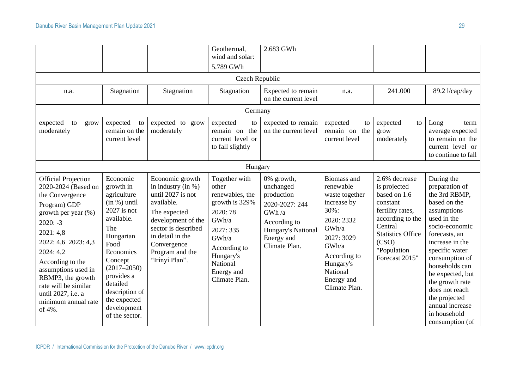|                                                                                                                                                                                                                                                                                                                         |                                                                                                                                                                                                                                                           |                                                                                                                                                                                                                    | Geothermal,<br>wind and solar:                                                                                                                                                | 2.683 GWh                                                                                                                             |                                                                                                                                                                                                |                                                                                                                                                                                    |                                                                                                                                                                                                                                                                                                                                         |
|-------------------------------------------------------------------------------------------------------------------------------------------------------------------------------------------------------------------------------------------------------------------------------------------------------------------------|-----------------------------------------------------------------------------------------------------------------------------------------------------------------------------------------------------------------------------------------------------------|--------------------------------------------------------------------------------------------------------------------------------------------------------------------------------------------------------------------|-------------------------------------------------------------------------------------------------------------------------------------------------------------------------------|---------------------------------------------------------------------------------------------------------------------------------------|------------------------------------------------------------------------------------------------------------------------------------------------------------------------------------------------|------------------------------------------------------------------------------------------------------------------------------------------------------------------------------------|-----------------------------------------------------------------------------------------------------------------------------------------------------------------------------------------------------------------------------------------------------------------------------------------------------------------------------------------|
|                                                                                                                                                                                                                                                                                                                         |                                                                                                                                                                                                                                                           |                                                                                                                                                                                                                    | 5.789 GWh                                                                                                                                                                     |                                                                                                                                       |                                                                                                                                                                                                |                                                                                                                                                                                    |                                                                                                                                                                                                                                                                                                                                         |
|                                                                                                                                                                                                                                                                                                                         |                                                                                                                                                                                                                                                           |                                                                                                                                                                                                                    | Czech Republic                                                                                                                                                                |                                                                                                                                       |                                                                                                                                                                                                |                                                                                                                                                                                    |                                                                                                                                                                                                                                                                                                                                         |
| n.a.                                                                                                                                                                                                                                                                                                                    | Stagnation                                                                                                                                                                                                                                                | Stagnation                                                                                                                                                                                                         | Stagnation                                                                                                                                                                    | Expected to remain<br>on the current level                                                                                            | n.a.                                                                                                                                                                                           | 241.000                                                                                                                                                                            | 89.2 l/cap/day                                                                                                                                                                                                                                                                                                                          |
|                                                                                                                                                                                                                                                                                                                         |                                                                                                                                                                                                                                                           |                                                                                                                                                                                                                    | Germany                                                                                                                                                                       |                                                                                                                                       |                                                                                                                                                                                                |                                                                                                                                                                                    |                                                                                                                                                                                                                                                                                                                                         |
| expected<br>to<br>grow<br>moderately                                                                                                                                                                                                                                                                                    | expected<br>to<br>remain on the<br>current level                                                                                                                                                                                                          | expected to grow<br>moderately                                                                                                                                                                                     | expected<br>to<br>the<br>remain on<br>current level or<br>to fall slightly                                                                                                    | expected to remain<br>on the current level                                                                                            | expected<br>to<br>remain on the<br>current level                                                                                                                                               | expected<br>to<br>grow<br>moderately                                                                                                                                               | Long<br>term<br>average expected<br>to remain on the<br>current level or<br>to continue to fall                                                                                                                                                                                                                                         |
|                                                                                                                                                                                                                                                                                                                         |                                                                                                                                                                                                                                                           |                                                                                                                                                                                                                    | Hungary                                                                                                                                                                       |                                                                                                                                       |                                                                                                                                                                                                |                                                                                                                                                                                    |                                                                                                                                                                                                                                                                                                                                         |
| <b>Official Projection</b><br>2020-2024 (Based on<br>the Convergence<br>Program) GDP<br>growth per year (%)<br>$2020: -3$<br>2021:4,8<br>2022: 4,6 2023: 4,3<br>2024:4,2<br>According to the<br>assumptions used in<br>RBMP3, the growth<br>rate will be similar<br>until 2027, i.e. a<br>minimum annual rate<br>of 4%. | Economic<br>growth in<br>agriculture<br>$(in %)$ until<br>$2027$ is not<br>available.<br>The<br>Hungarian<br>Food<br>Economics<br>Concept<br>$(2017 - 2050)$<br>provides a<br>detailed<br>description of<br>the expected<br>development<br>of the sector. | Economic growth<br>in industry (in $%$ )<br>until $2027$ is not<br>available.<br>The expected<br>development of the<br>sector is described<br>in detail in the<br>Convergence<br>Program and the<br>"Irinyi Plan". | Together with<br>other<br>renewables, the<br>growth is 329%<br>2020:78<br>GWh/a<br>2027: 335<br>GWh/a<br>According to<br>Hungary's<br>National<br>Energy and<br>Climate Plan. | 0% growth,<br>unchanged<br>production<br>2020-2027: 244<br>GWh/a<br>According to<br>Hungary's National<br>Energy and<br>Climate Plan. | <b>Biomass</b> and<br>renewable<br>waste together<br>increase by<br>30%:<br>2020: 2332<br>GWh/a<br>2027: 3029<br>GWh/a<br>According to<br>Hungary's<br>National<br>Energy and<br>Climate Plan. | 2.6% decrease<br>is projected<br>based on 1.6<br>constant<br>fertility rates,<br>according to the<br>Central<br><b>Statistics Office</b><br>(CSO)<br>"Population<br>Forecast 2015" | During the<br>preparation of<br>the 3rd RBMP,<br>based on the<br>assumptions<br>used in the<br>socio-economic<br>forecasts, an<br>increase in the<br>specific water<br>consumption of<br>households can<br>be expected, but<br>the growth rate<br>does not reach<br>the projected<br>annual increase<br>in household<br>consumption (of |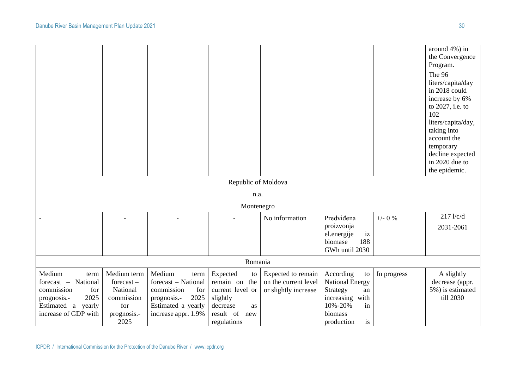|                      |              |                     |                     |                      |                        |             | around 4%) in      |
|----------------------|--------------|---------------------|---------------------|----------------------|------------------------|-------------|--------------------|
|                      |              |                     |                     |                      |                        |             | the Convergence    |
|                      |              |                     |                     |                      |                        |             | Program.           |
|                      |              |                     |                     |                      |                        |             | The 96             |
|                      |              |                     |                     |                      |                        |             | liters/capita/day  |
|                      |              |                     |                     |                      |                        |             | in 2018 could      |
|                      |              |                     |                     |                      |                        |             | increase by 6%     |
|                      |              |                     |                     |                      |                        |             | to 2027, i.e. to   |
|                      |              |                     |                     |                      |                        |             | 102                |
|                      |              |                     |                     |                      |                        |             | liters/capita/day, |
|                      |              |                     |                     |                      |                        |             | taking into        |
|                      |              |                     |                     |                      |                        |             | account the        |
|                      |              |                     |                     |                      |                        |             | temporary          |
|                      |              |                     |                     |                      |                        |             | decline expected   |
|                      |              |                     |                     |                      |                        |             | in 2020 due to     |
|                      |              |                     |                     |                      |                        |             | the epidemic.      |
|                      |              |                     | Republic of Moldova |                      |                        |             |                    |
|                      |              |                     | n.a.                |                      |                        |             |                    |
|                      |              |                     | Montenegro          |                      |                        |             |                    |
|                      |              |                     |                     | No information       | Predviđena             | $+/-$ 0 %   | $217$ l/c/d        |
|                      |              |                     |                     |                      | proizvonja             |             | 2031-2061          |
|                      |              |                     |                     |                      | el.energije<br>iz      |             |                    |
|                      |              |                     |                     |                      | 188<br>biomase         |             |                    |
|                      |              |                     |                     |                      | GWh until 2030         |             |                    |
|                      |              |                     | Romania             |                      |                        |             |                    |
| Medium<br>term       | Medium term  | Medium<br>term      | Expected<br>to      | Expected to remain   | According<br>to        | In progress | A slightly         |
| forecast - National  | $forecast -$ | forecast - National | remain on the       | on the current level | <b>National Energy</b> |             | decrease (appr.    |
| commission<br>for    | National     | commission<br>for   | current level or    | or slightly increase | Strategy<br>an         |             | 5%) is estimated   |
| 2025<br>prognosis.-  | commission   | 2025<br>prognosis.- | slightly            |                      | increasing with        |             | till 2030          |
| Estimated a yearly   | for          | Estimated a yearly  | decrease<br>as      |                      | 10%-20%<br>in          |             |                    |
| increase of GDP with | prognosis.-  | increase appr. 1.9% | result of<br>new    |                      | biomass                |             |                    |
|                      | 2025         |                     | regulations         |                      | production<br>is       |             |                    |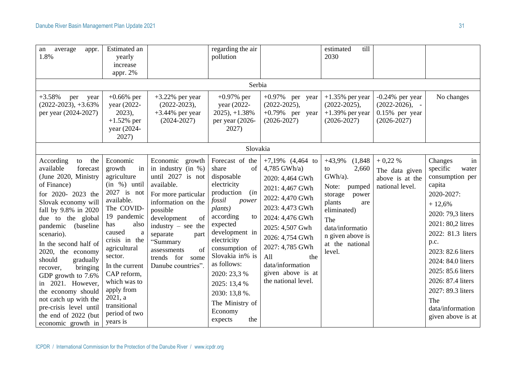| average<br>an<br>appr.<br>1.8%                                                                                                                                                                                                                                                                                                                                                                                                                                                         | Estimated an<br>yearly<br>increase<br>appr. 2%                                                                                                                                                                                                                                                                               |                                                                                                                                                                                                                                                                                        | regarding the air<br>pollution<br>Serbia                                                                                                                                                                                                                                                                                           |                                                                                                                                                                                                                                                                           | till<br>estimated<br>2030                                                                                                                                                                       |                                                                              |                                                                                                                                                                                                                                                                                                                           |
|----------------------------------------------------------------------------------------------------------------------------------------------------------------------------------------------------------------------------------------------------------------------------------------------------------------------------------------------------------------------------------------------------------------------------------------------------------------------------------------|------------------------------------------------------------------------------------------------------------------------------------------------------------------------------------------------------------------------------------------------------------------------------------------------------------------------------|----------------------------------------------------------------------------------------------------------------------------------------------------------------------------------------------------------------------------------------------------------------------------------------|------------------------------------------------------------------------------------------------------------------------------------------------------------------------------------------------------------------------------------------------------------------------------------------------------------------------------------|---------------------------------------------------------------------------------------------------------------------------------------------------------------------------------------------------------------------------------------------------------------------------|-------------------------------------------------------------------------------------------------------------------------------------------------------------------------------------------------|------------------------------------------------------------------------------|---------------------------------------------------------------------------------------------------------------------------------------------------------------------------------------------------------------------------------------------------------------------------------------------------------------------------|
| $+3.58%$<br>per<br>year<br>$(2022-2023), +3.63%$<br>per year (2024-2027)                                                                                                                                                                                                                                                                                                                                                                                                               | $+0.66%$ per<br>year (2022-<br>$2023$ ),<br>$+1.52%$ per<br>year (2024-<br>2027)                                                                                                                                                                                                                                             | $+3.22\%$ per year<br>$(2022 - 2023),$<br>$+3.44\%$ per year<br>$(2024 - 2027)$                                                                                                                                                                                                        | $+0.97%$ per<br>year (2022-<br>$2025$ , $+1.38%$<br>per year (2026-<br>2027)                                                                                                                                                                                                                                                       | $+0.97\%$ per year<br>$(2022 - 2025),$<br>$+0.79\%$ per year<br>$(2026 - 2027)$                                                                                                                                                                                           | $+1.35\%$ per year<br>$(2022 - 2025),$<br>$+1.39\%$ per year<br>$(2026 - 2027)$                                                                                                                 | $-0.24%$ per year<br>$(2022-2026), -$<br>$0.15%$ per year<br>$(2026 - 2027)$ | No changes                                                                                                                                                                                                                                                                                                                |
|                                                                                                                                                                                                                                                                                                                                                                                                                                                                                        |                                                                                                                                                                                                                                                                                                                              |                                                                                                                                                                                                                                                                                        | Slovakia                                                                                                                                                                                                                                                                                                                           |                                                                                                                                                                                                                                                                           |                                                                                                                                                                                                 |                                                                              |                                                                                                                                                                                                                                                                                                                           |
| According<br>to<br>the<br>available<br>forecast<br>(June 2020, Ministry<br>of Finance)<br>for 2020- 2023 the<br>Slovak economy will<br>fall by 9.8% in 2020<br>due to the global<br>pandemic<br>(baseline<br>scenario).<br>In the second half of<br>2020, the economy<br>should<br>gradually<br>bringing<br>recover,<br>GDP growth to 7.6%<br>in 2021. However,<br>the economy should<br>not catch up with the<br>pre-crisis level until<br>the end of 2022 (but<br>economic growth in | Economic<br>growth<br>in<br>agriculture<br>$(in \%)$ until<br>2027 is not<br>available.<br>The COVID-<br>19 pandemic<br>has<br>also<br>caused<br>$\rm{a}$<br>crisis in the<br>agricultural<br>sector.<br>In the current<br>CAP reform,<br>which was to<br>apply from<br>2021, a<br>transitional<br>period of two<br>years is | Economic growth<br>in industry (in $\%$ )<br>until 2027 is not<br>available.<br>For more particular<br>information on the<br>possible<br>of<br>development<br>industry $-$ see the<br>separate<br>part<br>"Summary<br>of<br>assessments<br>for<br>trends<br>some<br>Danube countries". | Forecast of the<br>share<br>of<br>disposable<br>electricity<br>production<br>(in<br>fossil<br>power<br>plants)<br>according<br>to<br>expected<br>development in<br>electricity<br>consumption of<br>Slovakia in% is<br>as follows:<br>2020: 23,3 %<br>2025: 13,4 %<br>2030: 13,8%.<br>The Ministry of<br>Economy<br>the<br>expects | $+7,19\%$ (4,464 to<br>4,785 GWh/a)<br>2020: 4,464 GWh<br>2021: 4,467 GWh<br>2022: 4,470 GWh<br>2023: 4,473 GWh<br>2024: 4,476 GWh<br>2025: 4,507 Gwh<br>2026: 4,754 GWh<br>2027: 4,785 GWh<br>All<br>the<br>data/information<br>given above is at<br>the national level. | $+43,9\%$ $(1,848)$<br>to<br>2,660<br>GWh/a).<br>Note:<br>pumped<br>storage<br>power<br>plants<br>are<br>eliminated)<br>The<br>data/informatio<br>n given above is<br>at the national<br>level. | $+0,22%$<br>The data given<br>above is at the<br>national level.             | Changes<br>in<br>specific<br>water<br>consumption per<br>capita<br>2020-2027:<br>$+12,6%$<br>2020: 79,3 liters<br>2021: 80,2 litres<br>2022: 81.3 liters<br>p.c.<br>2023: 82.6 liters<br>2024: 84.0 liters<br>2025: 85.6 liters<br>2026: 87.4 liters<br>2027: 89.3 liters<br>The<br>data/information<br>given above is at |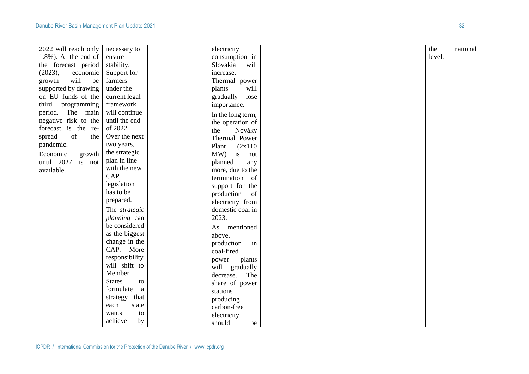| 2022 will reach only     | necessary to          |           | electricity       |  | the    | national |
|--------------------------|-----------------------|-----------|-------------------|--|--------|----------|
| $1.8\%$ ). At the end of | ensure                |           | consumption in    |  | level. |          |
| the forecast period      | stability.            | Slovakia  | will              |  |        |          |
| (2023),<br>economic      | Support for           | increase. |                   |  |        |          |
| will<br>growth<br>be     | farmers               |           | Thermal power     |  |        |          |
| supported by drawing     | under the             | plants    | will              |  |        |          |
| on EU funds of the       | current legal         |           | lose<br>gradually |  |        |          |
| third programming        | framework             |           | importance.       |  |        |          |
| period. The main         | will continue         |           | In the long term, |  |        |          |
| negative risk to the     | until the end         |           | the operation of  |  |        |          |
| forecast is the re-      | of 2022.              | the       | Nováky            |  |        |          |
| of<br>spread<br>the      | Over the next         |           | Thermal Power     |  |        |          |
| pandemic.                | two years,            | Plant     | (2x110)           |  |        |          |
| Economic<br>growth       | the strategic         |           | MW) is not        |  |        |          |
| until 2027 is not        | plan in line          | planned   | any               |  |        |          |
| available.               | with the new          |           | more, due to the  |  |        |          |
|                          | CAP                   |           | termination of    |  |        |          |
|                          | legislation           |           | support for the   |  |        |          |
|                          | has to be             |           | production of     |  |        |          |
|                          | prepared.             |           | electricity from  |  |        |          |
|                          | The strategic         |           | domestic coal in  |  |        |          |
|                          | planning can          | 2023.     |                   |  |        |          |
|                          | be considered         |           | As mentioned      |  |        |          |
|                          | as the biggest        | above,    |                   |  |        |          |
|                          | change in the         |           | in<br>production  |  |        |          |
|                          | CAP. More             |           | coal-fired        |  |        |          |
|                          | responsibility        | power     | plants            |  |        |          |
|                          | will shift to         |           | will gradually    |  |        |          |
|                          | Member                | decrease. | The               |  |        |          |
|                          | <b>States</b><br>to   |           | share of power    |  |        |          |
|                          | formulate<br>$\rm{a}$ | stations  |                   |  |        |          |
|                          | strategy<br>that      |           | producing         |  |        |          |
|                          | each<br>state         |           | carbon-free       |  |        |          |
|                          | to<br>wants           |           | electricity       |  |        |          |
|                          | achieve<br>by         | should    | be                |  |        |          |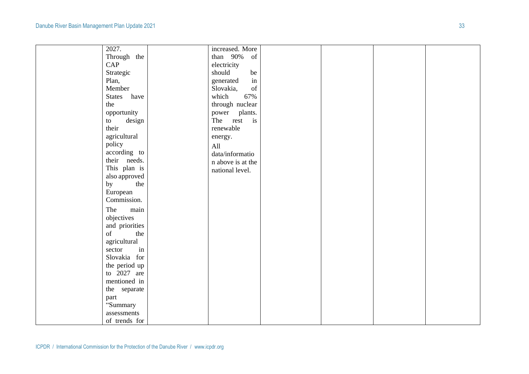| 2027.          | increased. More                                                                                                 |  |  |
|----------------|-----------------------------------------------------------------------------------------------------------------|--|--|
| Through the    | than 90%<br>of                                                                                                  |  |  |
| CAP            | electricity                                                                                                     |  |  |
| Strategic      | should<br>be                                                                                                    |  |  |
| Plan,          | $\operatorname{in}$<br>generated                                                                                |  |  |
| Member         | $% \left( \left( \mathcal{A},\mathcal{A}\right) \right) =\left( \mathcal{A},\mathcal{A}\right)$ of<br>Slovakia, |  |  |
| States<br>have | 67%<br>which                                                                                                    |  |  |
| the            | through nuclear                                                                                                 |  |  |
| opportunity    | plants.<br>power                                                                                                |  |  |
| design<br>to   | is<br>The<br>rest                                                                                               |  |  |
| their          | renewable                                                                                                       |  |  |
| agricultural   | energy.                                                                                                         |  |  |
| policy         | All                                                                                                             |  |  |
| according to   | data/informatio                                                                                                 |  |  |
| their needs.   | n above is at the                                                                                               |  |  |
| This plan is   | national level.                                                                                                 |  |  |
| also approved  |                                                                                                                 |  |  |
| the<br>by      |                                                                                                                 |  |  |
| European       |                                                                                                                 |  |  |
| Commission.    |                                                                                                                 |  |  |
| The<br>main    |                                                                                                                 |  |  |
| objectives     |                                                                                                                 |  |  |
| and priorities |                                                                                                                 |  |  |
| of<br>the      |                                                                                                                 |  |  |
| agricultural   |                                                                                                                 |  |  |
| in<br>sector   |                                                                                                                 |  |  |
| Slovakia for   |                                                                                                                 |  |  |
| the period up  |                                                                                                                 |  |  |
| to $2027$ are  |                                                                                                                 |  |  |
| mentioned in   |                                                                                                                 |  |  |
| the separate   |                                                                                                                 |  |  |
| part           |                                                                                                                 |  |  |
| "Summary       |                                                                                                                 |  |  |
| assessments    |                                                                                                                 |  |  |
| of trends for  |                                                                                                                 |  |  |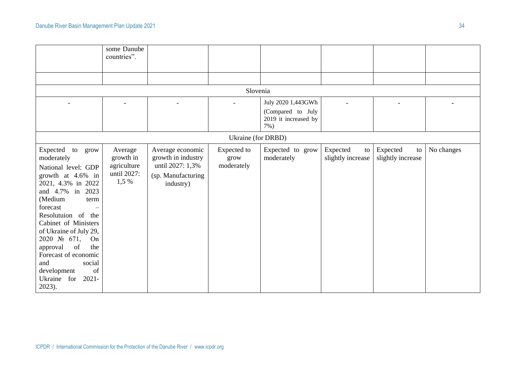|                                                                                                                                                                                                                                                                                                                                                                                                                 | some Danube<br>countries".                                    |                                                                                               |                                   |                                                                        |                                     |                                     |            |
|-----------------------------------------------------------------------------------------------------------------------------------------------------------------------------------------------------------------------------------------------------------------------------------------------------------------------------------------------------------------------------------------------------------------|---------------------------------------------------------------|-----------------------------------------------------------------------------------------------|-----------------------------------|------------------------------------------------------------------------|-------------------------------------|-------------------------------------|------------|
|                                                                                                                                                                                                                                                                                                                                                                                                                 |                                                               |                                                                                               |                                   |                                                                        |                                     |                                     |            |
|                                                                                                                                                                                                                                                                                                                                                                                                                 |                                                               |                                                                                               | Slovenia                          |                                                                        |                                     |                                     |            |
|                                                                                                                                                                                                                                                                                                                                                                                                                 |                                                               |                                                                                               |                                   | July 2020 1,443GWh<br>(Compared to July<br>2019 it increased by<br>7%) |                                     |                                     |            |
|                                                                                                                                                                                                                                                                                                                                                                                                                 |                                                               |                                                                                               | Ukraine (for DRBD)                |                                                                        |                                     |                                     |            |
| Expected to grow<br>moderately<br>National level: GDP<br>growth at 4.6% in<br>2021, 4.3% in 2022<br>and 4.7% in 2023<br>(Medium<br>term<br>forecast<br>$\qquad \qquad -$<br>Resolutuion of the<br>Cabinet of Ministers<br>of Ukraine of July 29,<br>2020 $\mathcal{N}_2$ 671,<br>On<br>the<br>approval<br>of<br>Forecast of economic<br>and<br>social<br>of<br>development<br>Ukraine for<br>$2021 -$<br>2023). | Average<br>growth in<br>agriculture<br>until 2027:<br>$1,5\%$ | Average economic<br>growth in industry<br>until 2027: 1,3%<br>(sp. Manufacturing<br>industry) | Expected to<br>grow<br>moderately | Expected to grow<br>moderately                                         | Expected<br>to<br>slightly increase | Expected<br>to<br>slightly increase | No changes |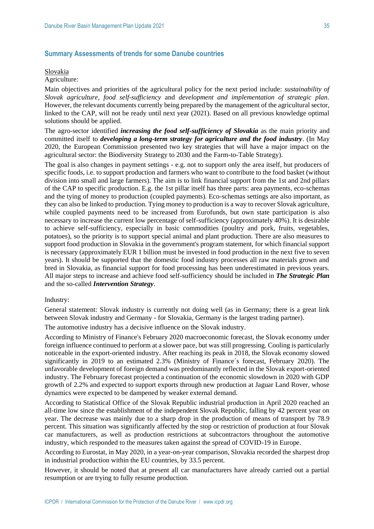# **Summary Assessments of trends for some Danube countries**

#### Slovakia

Agriculture:

Main objectives and priorities of the agricultural policy for the next period include: *sustainability of Slovak agriculture*, *food self-sufficiency* and *development and implementation of strategic plan*. However, the relevant documents currently being prepared by the management of the agricultural sector, linked to the CAP, will not be ready until next year (2021). Based on all previous knowledge optimal solutions should be applied.

The agro-sector identified *increasing the food self-sufficiency of Slovakia* as the main priority and committed itself to *developing a long-term strategy for agriculture and the food industry*. (In May 2020, the European Commission presented two key strategies that will have a major impact on the agricultural sector: the Biodiversity Strategy to 2030 and the Farm-to-Table Strategy).

The goal is also changes in payment settings - e.g. not to support only the area itself, but producers of specific foods, i.e. to support production and farmers who want to contribute to the food basket (without division into small and large farmers). The aim is to link financial support from the 1st and 2nd pillars of the CAP to specific production. E.g. the 1st pillar itself has three parts: area payments, eco-schemas and the tying of money to production (coupled payments). Eco-schemas settings are also important, as they can also be linked to production. Tying money to production is a way to recover Slovak agriculture, while coupled payments need to be increased from Eurofunds, but own state participation is also necessary to increase the current low percentage of self-sufficiency (approximately 40%). It is desirable to achieve self-sufficiency, especially in basic commodities (poultry and pork, fruits, vegetables, potatoes), so the priority is to support special animal and plant production. There are also measures to support food production in Slovakia in the government's program statement, for which financial support is necessary (approximately EUR 1 billion must be invested in food production in the next five to seven years). It should be supported that the domestic food industry processes all raw materials grown and bred in Slovakia, as financial support for food processing has been underestimated in previous years. All major steps to increase and achieve food self-sufficiency should be included in *The Strategic Plan* and the so-called *Intervention Strategy*.

#### Industry:

General statement: Slovak industry is currently not doing well (as in Germany; there is a great link between Slovak industry and Germany - for Slovakia, Germany is the largest trading partner).

The automotive industry has a decisive influence on the Slovak industry.

According to Ministry of Finance's February 2020 macroeconomic forecast, the Slovak economy under foreign influence continued to perform at a slower pace, but was still progressing. Cooling is particularly noticeable in the export-oriented industry. After reaching its peak in 2018, the Slovak economy slowed significantly in 2019 to an estimated 2.3% (Ministry of Finance´s forecast, February 2020). The unfavorable development of foreign demand was predominantly reflected in the Slovak export-oriented industry. The February forecast projected a continuation of the economic slowdown in 2020 with GDP growth of 2.2% and expected to support exports through new production at Jaguar Land Rover, whose dynamics were expected to be dampened by weaker external demand.

According to Statistical Office of the Slovak Republic industrial production in April 2020 reached an all-time low since the establishment of the independent Slovak Republic, falling by 42 percent year on year. The decrease was mainly due to a sharp drop in the production of means of transport by 78.9 percent. This situation was significantly affected by the stop or restriction of production at four Slovak car manufacturers, as well as production restrictions at subcontractors throughout the automotive industry, which responded to the measures taken against the spread of COVID-19 in Europe.

According to Eurostat, in May 2020, in a year-on-year comparison, Slovakia recorded the sharpest drop in industrial production within the EU countries, by 33.5 percent.

However, it should be noted that at present all car manufacturers have already carried out a partial resumption or are trying to fully resume production.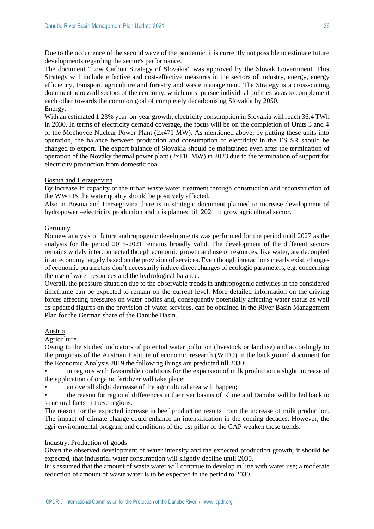Due to the occurrence of the second wave of the pandemic, it is currently not possible to estimate future developments regarding the sector's performance.

The document "Low Carbon Strategy of Slovakia" was approved by the Slovak Government. This Strategy will include effective and cost-effective measures in the sectors of industry, energy, energy efficiency, transport, agriculture and forestry and waste management. The Strategy is a cross-cutting document across all sectors of the economy, which must pursue individual policies so as to complement each other towards the common goal of completely decarbonising Slovakia by 2050. Energy:

With an estimated 1.23% year-on-year growth, electricity consumption in Slovakia will reach 36.4 TWh in 2030. In terms of electricity demand coverage, the focus will be on the completion of Units 3 and 4 of the Mochovce Nuclear Power Plant (2x471 MW). As mentioned above, by putting these units into operation, the balance between production and consumption of electricity in the ES SR should be changed to export. The export balance of Slovakia should be maintained even after the termination of operation of the Nováky thermal power plant  $(2x110)$  MW) in 2023 due to the termination of support for electricity production from domestic coal.

## Bosnia and Herzegovina

By increase in capacity of the urban waste water treatment through construction and reconstruction of the WWTPs the water quality should be positively affected.

Also in Bosnia and Herzegovina there is in strategic document planned to increase development of hydropower –electricity production and it is planned till 2021 to grow agricultural sector.

#### Germany

No new analysis of future anthropogenic developments was performed for the period until 2027 as the analysis for the period 2015-2021 remains broadly valid. The development of the different sectors remains widely interconnected though economic growth and use of resources, like water, are decoupled in an economy largely based on the provision of services. Even though interactions clearly exist, changes of economic parameters don't necessarily induce direct changes of ecologic parameters, e.g. concerning the use of water resources and the hydrological balance.

Overall, the pressure situation due to the observable trends in anthropogenic activities in the considered timeframe can be expected to remain on the current level. More detailed information on the driving forces affecting pressures on water bodies and, consequently potentially affecting water status as well as updated figures on the provision of water services, can be obtained in the River Basin Management Plan for the German share of the Danube Basin.

#### Austria

Agriculture

Owing to the studied indicators of potential water pollution (livestock or landuse) and accordingly to the prognosis of the Austrian Institute of economic research (WIFO) in the background document for the Economic Analysis 2019 the following things are predicted till 2030:

• in regions with favourable conditions for the expansion of milk production a slight increase of the application of organic fertilizer will take place;

an overall slight decrease of the agricultural area will happen;

• the reason for regional differences in the river basins of Rhine and Danube will be led back to structural facts in these regions.

The reason for the expected increase in beef production results from the increase of milk production. The impact of climate change could enhance an intensification in the coming decades. However, the agri-environmental program and conditions of the 1st pillar of the CAP weaken these trends.

## Industry, Production of goods

Given the observed development of water intensity and the expected production growth, it should be expected, that industrial water consumption will slightly decline until 2030.

It is assumed that the amount of waste water will continue to develop in line with water use; a moderate reduction of amount of waste water is to be expected in the period to 2030.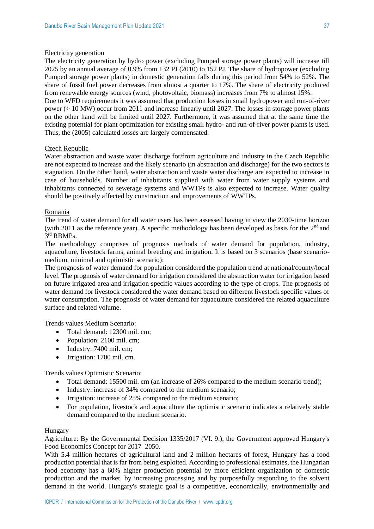#### Electricity generation

The electricity generation by hydro power (excluding Pumped storage power plants) will increase till 2025 by an annual average of 0.9% from 132 PJ (2010) to 152 PJ. The share of hydropower (excluding Pumped storage power plants) in domestic generation falls during this period from 54% to 52%. The share of fossil fuel power decreases from almost a quarter to 17%. The share of electricity produced from renewable energy sources (wind, photovoltaic, biomass) increases from 7% to almost 15%.

Due to WFD requirements it was assumed that production losses in small hydropower and run-of-river power (> 10 MW) occur from 2011 and increase linearly until 2027. The losses in storage power plants on the other hand will be limited until 2027. Furthermore, it was assumed that at the same time the existing potential for plant optimization for existing small hydro- and run-of-river power plants is used. Thus, the (2005) calculated losses are largely compensated.

## Czech Republic

Water abstraction and waste water discharge for/from agriculture and industry in the Czech Republic are not expected to increase and the likely scenario (in abstraction and discharge) for the two sectors is stagnation. On the other hand, water abstraction and waste water discharge are expected to increase in case of households. Number of inhabitants supplied with water from water supply systems and inhabitants connected to sewerage systems and WWTPs is also expected to increase. Water quality should be positively affected by construction and improvements of WWTPs.

#### Romania

The trend of water demand for all water users has been assessed having in view the 2030-time horizon (with 2011 as the reference year). A specific methodology has been developed as basis for the  $2<sup>nd</sup>$  and 3 rd RBMPs.

The methodology comprises of prognosis methods of water demand for population, industry, aquaculture, livestock farms, animal breeding and irrigation. It is based on 3 scenarios (base scenariomedium, minimal and optimistic scenario):

The prognosis of water demand for population considered the population trend at national/county/local level. The prognosis of water demand for irrigation considered the abstraction water for irrigation based on future irrigated area and irrigation specific values according to the type of crops. The prognosis of water demand for livestock considered the water demand based on different livestock specific values of water consumption. The prognosis of water demand for aquaculture considered the related aquaculture surface and related volume.

Trends values Medium Scenario:

- Total demand: 12300 mil. cm:
- Population: 2100 mil. cm;
- Industry: 7400 mil. cm;
- Irrigation: 1700 mil. cm.

Trends values Optimistic Scenario:

- Total demand: 15500 mil. cm (an increase of 26% compared to the medium scenario trend);
- Industry: increase of 34% compared to the medium scenario:
- Irrigation: increase of 25% compared to the medium scenario;
- For population, livestock and aquaculture the optimistic scenario indicates a relatively stable demand compared to the medium scenario.

#### Hungary

Agriculture: By the Governmental Decision 1335/2017 (VI. 9.), the Government approved Hungary's Food Economics Concept for 2017–2050.

With 5.4 million hectares of agricultural land and 2 million hectares of forest, Hungary has a food production potential that is far from being exploited. According to professional estimates, the Hungarian food economy has a 60% higher production potential by more efficient organization of domestic production and the market, by increasing processing and by purposefully responding to the solvent demand in the world. Hungary's strategic goal is a competitive, economically, environmentally and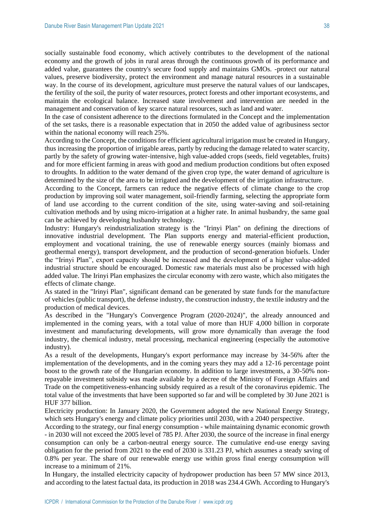socially sustainable food economy, which actively contributes to the development of the national economy and the growth of jobs in rural areas through the continuous growth of its performance and added value, guarantees the country's secure food supply and maintains GMOs. -protect our natural values, preserve biodiversity, protect the environment and manage natural resources in a sustainable way. In the course of its development, agriculture must preserve the natural values of our landscapes, the fertility of the soil, the purity of water resources, protect forests and other important ecosystems, and maintain the ecological balance. Increased state involvement and intervention are needed in the management and conservation of key scarce natural resources, such as land and water.

In the case of consistent adherence to the directions formulated in the Concept and the implementation of the set tasks, there is a reasonable expectation that in 2050 the added value of agribusiness sector within the national economy will reach 25%.

According to the Concept, the conditions for efficient agricultural irrigation must be created in Hungary, thus increasing the proportion of irrigable areas, partly by reducing the damage related to water scarcity, partly by the safety of growing water-intensive, high value-added crops (seeds, field vegetables, fruits) and for more efficient farming in areas with good and medium production conditions but often exposed to droughts. In addition to the water demand of the given crop type, the water demand of agriculture is determined by the size of the area to be irrigated and the development of the irrigation infrastructure.

According to the Concept, farmers can reduce the negative effects of climate change to the crop production by improving soil water management, soil-friendly farming, selecting the appropriate form of land use according to the current condition of the site, using water-saving and soil-retaining cultivation methods and by using micro-irrigation at a higher rate. In animal husbandry, the same goal can be achieved by developing husbandry technology.

Industry: Hungary's reindustrialization strategy is the "Irinyi Plan" on defining the directions of innovative industrial development. The Plan supports energy and material-efficient production, employment and vocational training, the use of renewable energy sources (mainly biomass and geothermal energy), transport development, and the production of second-generation biofuels. Under the "Irinyi Plan", export capacity should be increased and the development of a higher value-added industrial structure should be encouraged. Domestic raw materials must also be processed with high added value. The Irinyi Plan emphasizes the circular economy with zero waste, which also mitigates the effects of climate change.

As stated in the "Irinyi Plan", significant demand can be generated by state funds for the manufacture of vehicles (public transport), the defense industry, the construction industry, the textile industry and the production of medical devices.

As described in the "Hungary's Convergence Program (2020-2024)", the already announced and implemented in the coming years, with a total value of more than HUF 4,000 billion in corporate investment and manufacturing developments, will grow more dynamically than average the food industry, the chemical industry, metal processing, mechanical engineering (especially the automotive industry).

As a result of the developments, Hungary's export performance may increase by 34-56% after the implementation of the developments, and in the coming years they may add a 12-16 percentage point boost to the growth rate of the Hungarian economy. In addition to large investments, a 30-50% nonrepayable investment subsidy was made available by a decree of the Ministry of Foreign Affairs and Trade on the competitiveness-enhancing subsidy required as a result of the coronavirus epidemic. The total value of the investments that have been supported so far and will be completed by 30 June 2021 is HUF 377 billion.

Electricity production: In January 2020, the Government adopted the new National Energy Strategy, which sets Hungary's energy and climate policy priorities until 2030, with a 2040 perspective.

According to the strategy, our final energy consumption - while maintaining dynamic economic growth - in 2030 will not exceed the 2005 level of 785 PJ. After 2030, the source of the increase in final energy consumption can only be a carbon-neutral energy source. The cumulative end-use energy saving obligation for the period from 2021 to the end of 2030 is 331.23 PJ, which assumes a steady saving of 0.8% per year. The share of our renewable energy use within gross final energy consumption will increase to a minimum of 21%.

In Hungary, the installed electricity capacity of hydropower production has been 57 MW since 2013, and according to the latest factual data, its production in 2018 was 234.4 GWh. According to Hungary's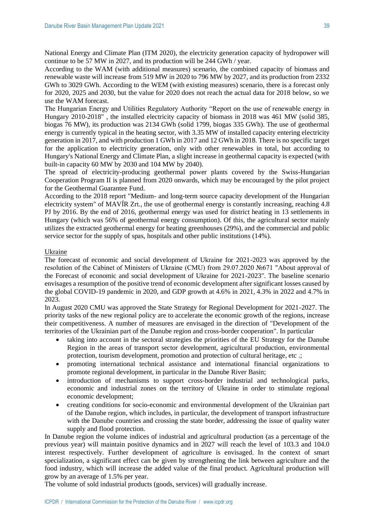National Energy and Climate Plan (ITM 2020), the electricity generation capacity of hydropower will continue to be 57 MW in 2027, and its production will be 244 GWh / year.

According to the WAM (with additional measures) scenario, the combined capacity of biomass and renewable waste will increase from 519 MW in 2020 to 796 MW by 2027, and its production from 2332 GWh to 3029 GWh. According to the WEM (with existing measures) scenario, there is a forecast only for 2020, 2025 and 2030, but the value for 2020 does not reach the actual data for 2018 below, so we use the WAM forecast.

The Hungarian Energy and Utilities Regulatory Authority "Report on the use of renewable energy in Hungary 2010-2018" , the installed electricity capacity of biomass in 2018 was 461 MW (solid 385, biogas 76 MW), its production was 2134 GWh (solid 1799, biogas 335 GWh). The use of geothermal energy is currently typical in the heating sector, with 3.35 MW of installed capacity entering electricity generation in 2017, and with production 1 GWh in 2017 and 12 GWh in 2018. There is no specific target for the application to electricity generation, only with other renewables in total, but according to Hungary's National Energy and Climate Plan, a slight increase in geothermal capacity is expected (with built-in capacity 60 MW by 2030 and 104 MW by 2040).

The spread of electricity-producing geothermal power plants covered by the Swiss-Hungarian Cooperation Program II is planned from 2020 onwards, which may be encouraged by the pilot project for the Geothermal Guarantee Fund.

According to the 2018 report "Medium- and long-term source capacity development of the Hungarian electricity system" of MAVÍR Zrt., the use of geothermal energy is constantly increasing, reaching 4.8 PJ by 2016. By the end of 2016, geothermal energy was used for district heating in 13 settlements in Hungary (which was 56% of geothermal energy consumption). Of this, the agricultural sector mainly utilizes the extracted geothermal energy for heating greenhouses (29%), and the commercial and public service sector for the supply of spas, hospitals and other public institutions (14%).

#### Ukraine

The forecast of economic and social development of Ukraine for 2021-2023 was approved by the resolution of the Cabinet of Ministers of Ukraine (CMU) from 29.07.2020 №671 "About approval of the Forecast of economic and social development of Ukraine for 2021-2023". The baseline scenario envisages a resumption of the positive trend of economic development after significant losses caused by the global COVID-19 pandemic in 2020, and GDP growth at 4.6% in 2021, 4.3% in 2022 and 4.7% in 2023.

In August 2020 CMU was approved the State Strategy for Regional Development for 2021-2027. The priority tasks of the new regional policy are to accelerate the economic growth of the regions, increase their competitiveness. A number of measures are envisaged in the direction of "Development of the territories of the Ukrainian part of the Danube region and cross-border cooperation". In particular

- taking into account in the sectoral strategies the priorities of the EU Strategy for the Danube Region in the areas of transport sector development, agricultural production, environmental protection, tourism development, promotion and protection of cultural heritage, etc .;
- promoting international technical assistance and international financial organizations to promote regional development, in particular in the Danube River Basin;
- introduction of mechanisms to support cross-border industrial and technological parks, economic and industrial zones on the territory of Ukraine in order to stimulate regional economic development;
- creating conditions for socio-economic and environmental development of the Ukrainian part of the Danube region, which includes, in particular, the development of transport infrastructure with the Danube countries and crossing the state border, addressing the issue of quality water supply and flood protection.

In Danube region the volume indices of industrial and agricultural production (as a percentage of the previous year) will maintain positive dynamics and in 2027 will reach the level of 103.3 and 104.0 interest respectively. Further development of agriculture is envisaged. In the context of smart specialization, a significant effect can be given by strengthening the link between agriculture and the food industry, which will increase the added value of the final product. Agricultural production will grow by an average of 1.5% per year.

The volume of sold industrial products (goods, services) will gradually increase.